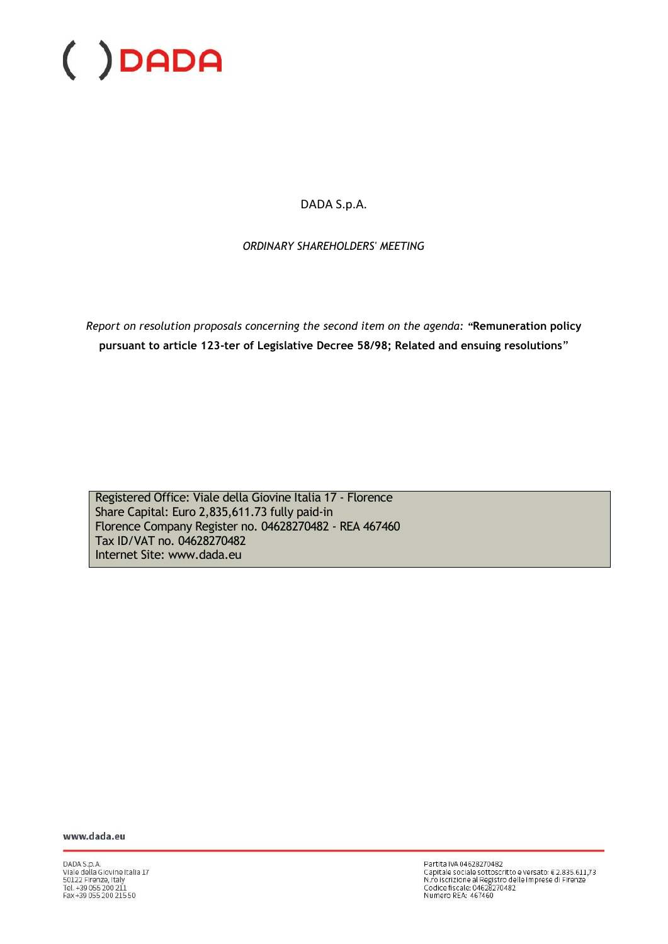DADA S.p.A.

*ORDINARY SHAREHOLDERS' MEETING*

*Report on resolution proposals concerning the second item on the agenda: "***Remuneration policy pursuant to article 123-ter of Legislative Decree 58/98; Related and ensuing resolutions**"

Registered Office: Viale della Giovine Italia 17 - Florence Share Capital: Euro 2,835,611.73 fully paid-in Florence Company Register no. 04628270482 - REA 467460 Tax ID/VAT no. 04628270482 Internet Site: www.dada.eu

www.dada.eu

DADA S.p.A.<br>Viale della Giovine Italia 17<br>50122 Firenze, Italy<br>Tel. +39 055 200 211<br>Fax +39 055 200 215 50

Partita IVA 04628270482 Partita IVA 04628270482<br>Capitale sociale sottoscritto e versato: € 2.835.611,73<br>N.ro iscrizione al Registro delle Imprese di Firenze<br>Codice fiscale: 04628270482<br>Numero REA: 467460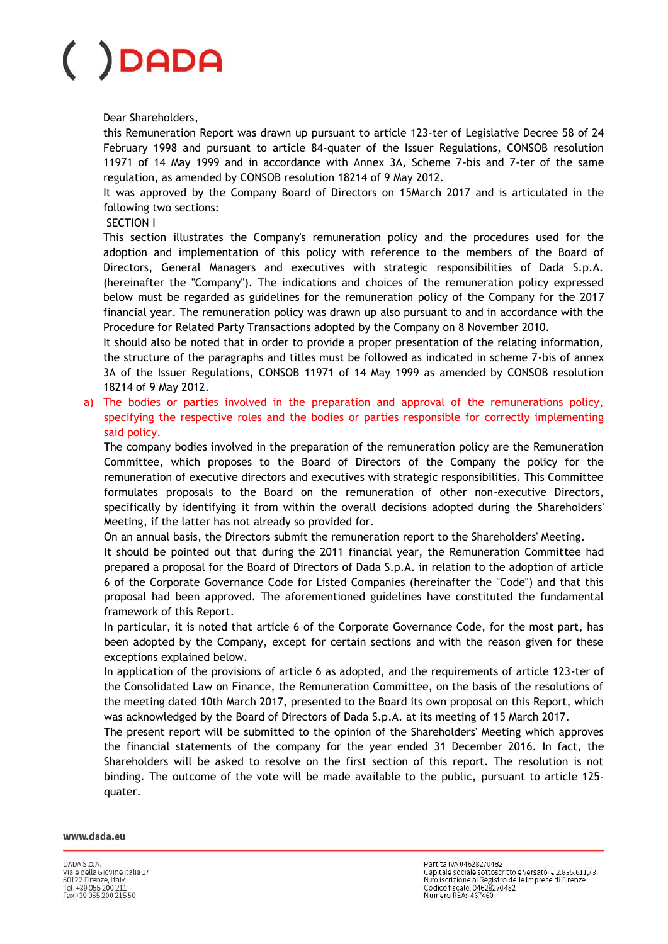Dear Shareholders,

this Remuneration Report was drawn up pursuant to article 123-ter of Legislative Decree 58 of 24 February 1998 and pursuant to article 84-quater of the Issuer Regulations, CONSOB resolution 11971 of 14 May 1999 and in accordance with Annex 3A, Scheme 7-bis and 7-ter of the same regulation, as amended by CONSOB resolution 18214 of 9 May 2012.

It was approved by the Company Board of Directors on 15March 2017 and is articulated in the following two sections:

### SECTION I

This section illustrates the Company's remuneration policy and the procedures used for the adoption and implementation of this policy with reference to the members of the Board of Directors, General Managers and executives with strategic responsibilities of Dada S.p.A. (hereinafter the "Company"). The indications and choices of the remuneration policy expressed below must be regarded as guidelines for the remuneration policy of the Company for the 2017 financial year. The remuneration policy was drawn up also pursuant to and in accordance with the Procedure for Related Party Transactions adopted by the Company on 8 November 2010.

It should also be noted that in order to provide a proper presentation of the relating information, the structure of the paragraphs and titles must be followed as indicated in scheme 7-bis of annex 3A of the Issuer Regulations, CONSOB 11971 of 14 May 1999 as amended by CONSOB resolution 18214 of 9 May 2012.

a) The bodies or parties involved in the preparation and approval of the remunerations policy, specifying the respective roles and the bodies or parties responsible for correctly implementing said policy.

The company bodies involved in the preparation of the remuneration policy are the Remuneration Committee, which proposes to the Board of Directors of the Company the policy for the remuneration of executive directors and executives with strategic responsibilities. This Committee formulates proposals to the Board on the remuneration of other non-executive Directors, specifically by identifying it from within the overall decisions adopted during the Shareholders' Meeting, if the latter has not already so provided for.

On an annual basis, the Directors submit the remuneration report to the Shareholders' Meeting.

It should be pointed out that during the 2011 financial year, the Remuneration Committee had prepared a proposal for the Board of Directors of Dada S.p.A. in relation to the adoption of article 6 of the Corporate Governance Code for Listed Companies (hereinafter the "Code") and that this proposal had been approved. The aforementioned guidelines have constituted the fundamental framework of this Report.

In particular, it is noted that article 6 of the Corporate Governance Code, for the most part, has been adopted by the Company, except for certain sections and with the reason given for these exceptions explained below.

In application of the provisions of article 6 as adopted, and the requirements of article 123-ter of the Consolidated Law on Finance, the Remuneration Committee, on the basis of the resolutions of the meeting dated 10th March 2017, presented to the Board its own proposal on this Report, which was acknowledged by the Board of Directors of Dada S.p.A. at its meeting of 15 March 2017.

The present report will be submitted to the opinion of the Shareholders' Meeting which approves the financial statements of the company for the year ended 31 December 2016. In fact, the Shareholders will be asked to resolve on the first section of this report. The resolution is not binding. The outcome of the vote will be made available to the public, pursuant to article 125 quater.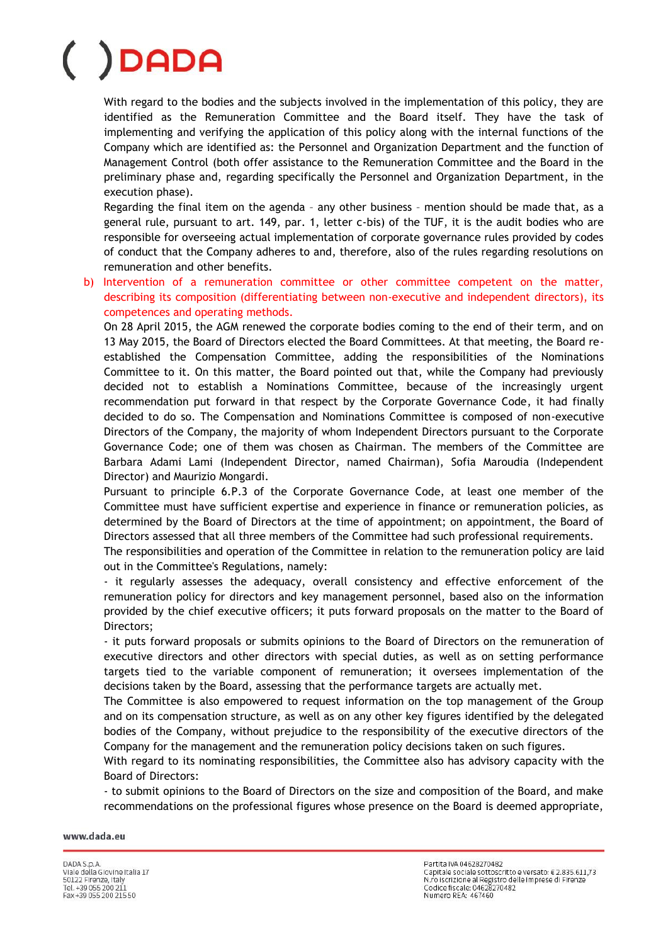With regard to the bodies and the subjects involved in the implementation of this policy, they are identified as the Remuneration Committee and the Board itself. They have the task of implementing and verifying the application of this policy along with the internal functions of the Company which are identified as: the Personnel and Organization Department and the function of Management Control (both offer assistance to the Remuneration Committee and the Board in the preliminary phase and, regarding specifically the Personnel and Organization Department, in the execution phase).

Regarding the final item on the agenda – any other business – mention should be made that, as a general rule, pursuant to art. 149, par. 1, letter c-bis) of the TUF, it is the audit bodies who are responsible for overseeing actual implementation of corporate governance rules provided by codes of conduct that the Company adheres to and, therefore, also of the rules regarding resolutions on remuneration and other benefits.

b) Intervention of a remuneration committee or other committee competent on the matter, describing its composition (differentiating between non-executive and independent directors), its competences and operating methods.

On 28 April 2015, the AGM renewed the corporate bodies coming to the end of their term, and on 13 May 2015, the Board of Directors elected the Board Committees. At that meeting, the Board reestablished the Compensation Committee, adding the responsibilities of the Nominations Committee to it. On this matter, the Board pointed out that, while the Company had previously decided not to establish a Nominations Committee, because of the increasingly urgent recommendation put forward in that respect by the Corporate Governance Code, it had finally decided to do so. The Compensation and Nominations Committee is composed of non-executive Directors of the Company, the majority of whom Independent Directors pursuant to the Corporate Governance Code; one of them was chosen as Chairman. The members of the Committee are Barbara Adami Lami (Independent Director, named Chairman), Sofia Maroudia (Independent Director) and Maurizio Mongardi.

Pursuant to principle 6.P.3 of the Corporate Governance Code, at least one member of the Committee must have sufficient expertise and experience in finance or remuneration policies, as determined by the Board of Directors at the time of appointment; on appointment, the Board of Directors assessed that all three members of the Committee had such professional requirements.

The responsibilities and operation of the Committee in relation to the remuneration policy are laid out in the Committee's Regulations, namely:

- it regularly assesses the adequacy, overall consistency and effective enforcement of the remuneration policy for directors and key management personnel, based also on the information provided by the chief executive officers; it puts forward proposals on the matter to the Board of Directors;

- it puts forward proposals or submits opinions to the Board of Directors on the remuneration of executive directors and other directors with special duties, as well as on setting performance targets tied to the variable component of remuneration; it oversees implementation of the decisions taken by the Board, assessing that the performance targets are actually met.

The Committee is also empowered to request information on the top management of the Group and on its compensation structure, as well as on any other key figures identified by the delegated bodies of the Company, without prejudice to the responsibility of the executive directors of the Company for the management and the remuneration policy decisions taken on such figures.

With regard to its nominating responsibilities, the Committee also has advisory capacity with the Board of Directors:

- to submit opinions to the Board of Directors on the size and composition of the Board, and make recommendations on the professional figures whose presence on the Board is deemed appropriate,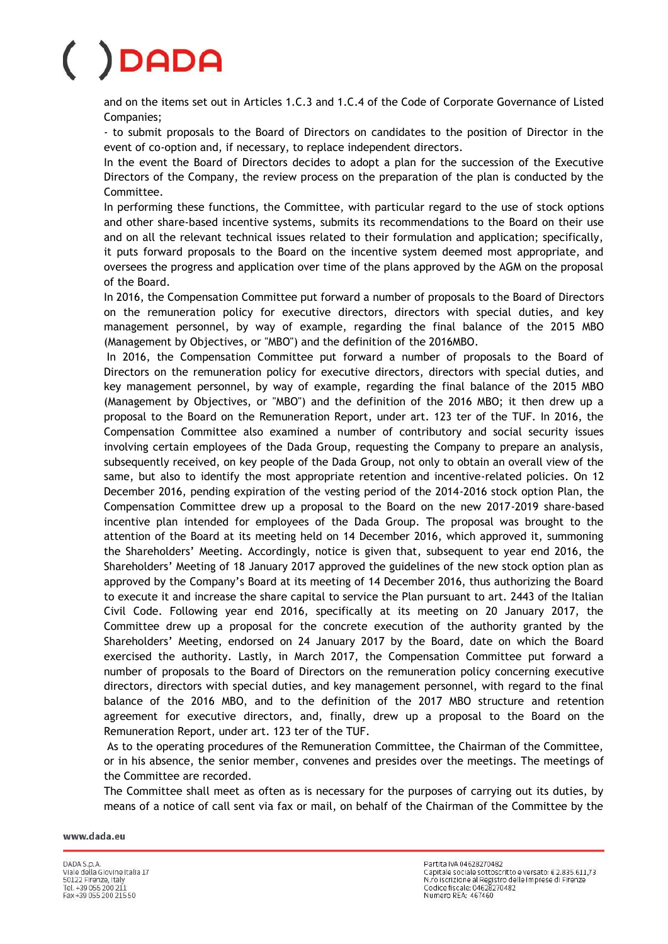and on the items set out in Articles 1.C.3 and 1.C.4 of the Code of Corporate Governance of Listed Companies;

- to submit proposals to the Board of Directors on candidates to the position of Director in the event of co-option and, if necessary, to replace independent directors.

In the event the Board of Directors decides to adopt a plan for the succession of the Executive Directors of the Company, the review process on the preparation of the plan is conducted by the Committee.

In performing these functions, the Committee, with particular regard to the use of stock options and other share-based incentive systems, submits its recommendations to the Board on their use and on all the relevant technical issues related to their formulation and application; specifically, it puts forward proposals to the Board on the incentive system deemed most appropriate, and oversees the progress and application over time of the plans approved by the AGM on the proposal of the Board.

In 2016, the Compensation Committee put forward a number of proposals to the Board of Directors on the remuneration policy for executive directors, directors with special duties, and key management personnel, by way of example, regarding the final balance of the 2015 MBO (Management by Objectives, or "MBO") and the definition of the 2016MBO.

In 2016, the Compensation Committee put forward a number of proposals to the Board of Directors on the remuneration policy for executive directors, directors with special duties, and key management personnel, by way of example, regarding the final balance of the 2015 MBO (Management by Objectives, or "MBO") and the definition of the 2016 MBO; it then drew up a proposal to the Board on the Remuneration Report, under art. 123 ter of the TUF. In 2016, the Compensation Committee also examined a number of contributory and social security issues involving certain employees of the Dada Group, requesting the Company to prepare an analysis, subsequently received, on key people of the Dada Group, not only to obtain an overall view of the same, but also to identify the most appropriate retention and incentive-related policies. On 12 December 2016, pending expiration of the vesting period of the 2014-2016 stock option Plan, the Compensation Committee drew up a proposal to the Board on the new 2017-2019 share-based incentive plan intended for employees of the Dada Group. The proposal was brought to the attention of the Board at its meeting held on 14 December 2016, which approved it, summoning the Shareholders' Meeting. Accordingly, notice is given that, subsequent to year end 2016, the Shareholders' Meeting of 18 January 2017 approved the guidelines of the new stock option plan as approved by the Company's Board at its meeting of 14 December 2016, thus authorizing the Board to execute it and increase the share capital to service the Plan pursuant to art. 2443 of the Italian Civil Code. Following year end 2016, specifically at its meeting on 20 January 2017, the Committee drew up a proposal for the concrete execution of the authority granted by the Shareholders' Meeting, endorsed on 24 January 2017 by the Board, date on which the Board exercised the authority. Lastly, in March 2017, the Compensation Committee put forward a number of proposals to the Board of Directors on the remuneration policy concerning executive directors, directors with special duties, and key management personnel, with regard to the final balance of the 2016 MBO, and to the definition of the 2017 MBO structure and retention agreement for executive directors, and, finally, drew up a proposal to the Board on the Remuneration Report, under art. 123 ter of the TUF.

As to the operating procedures of the Remuneration Committee, the Chairman of the Committee, or in his absence, the senior member, convenes and presides over the meetings. The meetings of the Committee are recorded.

The Committee shall meet as often as is necessary for the purposes of carrying out its duties, by means of a notice of call sent via fax or mail, on behalf of the Chairman of the Committee by the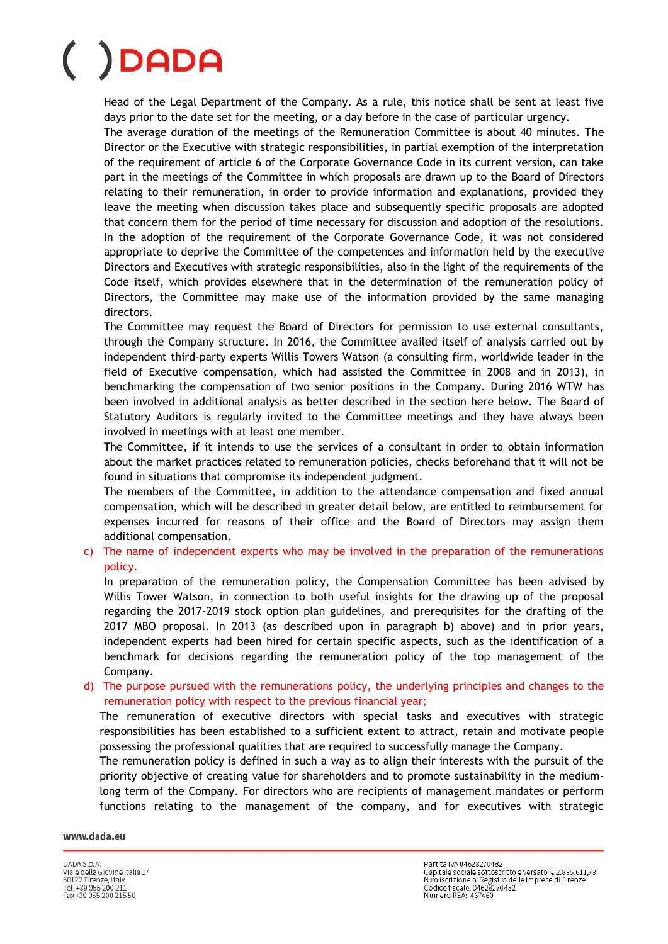Head of the Legal Department of the Company. As a rule, this notice shall be sent at least five days prior to the date set for the meeting, or a day before in the case of particular urgency.

The average duration of the meetings of the Remuneration Committee is about 40 minutes. The Director or the Executive with strategic responsibilities, in partial exemption of the interpretation of the requirement of article 6 of the Corporate Governance Code in its current version, can take part in the meetings of the Committee in which proposals are drawn up to the Board of Directors relating to their remuneration, in order to provide information and explanations, provided they leave the meeting when discussion takes place and subsequently specific proposals are adopted that concern them for the period of time necessary for discussion and adoption of the resolutions. In the adoption of the requirement of the Corporate Governance Code, it was not considered appropriate to deprive the Committee of the competences and information held by the executive Directors and Executives with strategic responsibilities, also in the light of the requirements of the Code itself, which provides elsewhere that in the determination of the remuneration policy of Directors, the Committee may make use of the information provided by the same managing directors.

The Committee may request the Board of Directors for permission to use external consultants, through the Company structure. In 2016, the Committee availed itself of analysis carried out by independent third-party experts Willis Towers Watson (a consulting firm, worldwide leader in the field of Executive compensation, which had assisted the Committee in 2008 and in 2013), in benchmarking the compensation of two senior positions in the Company. During 2016 WTW has been involved in additional analysis as better described in the section here below. The Board of Statutory Auditors is regularly invited to the Committee meetings and they have always been involved in meetings with at least one member.

The Committee, if it intends to use the services of a consultant in order to obtain information about the market practices related to remuneration policies, checks beforehand that it will not be found in situations that compromise its independent judgment.

The members of the Committee, in addition to the attendance compensation and fixed annual compensation, which will be described in greater detail below, are entitled to reimbursement for expenses incurred for reasons of their office and the Board of Directors may assign them additional compensation.

### c) The name of independent experts who may be involved in the preparation of the remunerations policy.

In preparation of the remuneration policy, the Compensation Committee has been advised by Willis Tower Watson, in connection to both useful insights for the drawing up of the proposal regarding the 2017-2019 stock option plan guidelines, and prerequisites for the drafting of the 2017 MBO proposal. In 2013 (as described upon in paragraph b) above) and in prior years, independent experts had been hired for certain specific aspects, such as the identification of a benchmark for decisions regarding the remuneration policy of the top management of the Company.

d) The purpose pursued with the remunerations policy, the underlying principles and changes to the remuneration policy with respect to the previous financial year;

The remuneration of executive directors with special tasks and executives with strategic responsibilities has been established to a sufficient extent to attract, retain and motivate people possessing the professional qualities that are required to successfully manage the Company.

The remuneration policy is defined in such a way as to align their interests with the pursuit of the priority objective of creating value for shareholders and to promote sustainability in the mediumlong term of the Company. For directors who are recipients of management mandates or perform functions relating to the management of the company, and for executives with strategic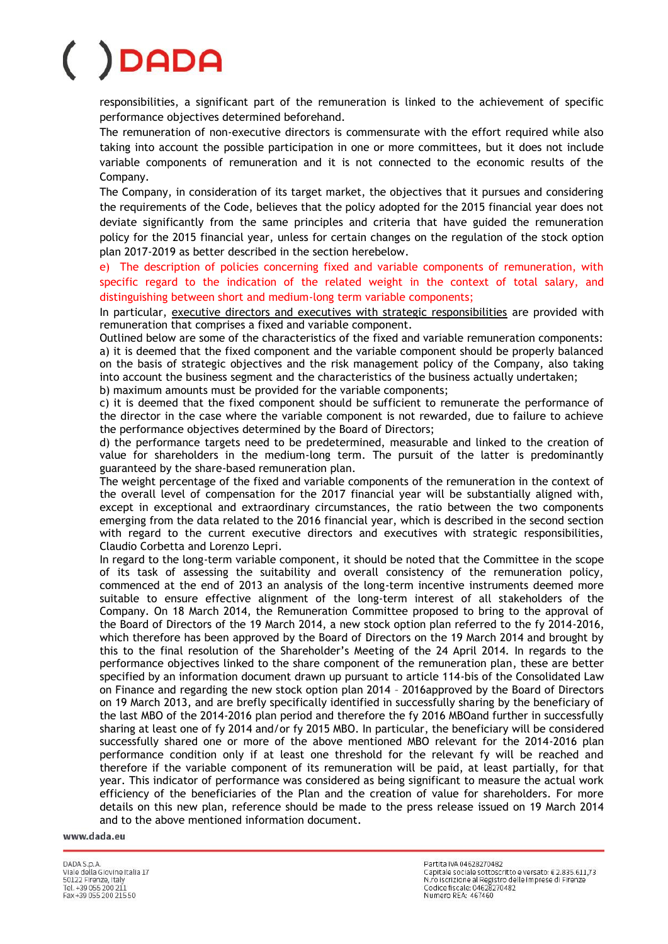responsibilities, a significant part of the remuneration is linked to the achievement of specific performance objectives determined beforehand.

The remuneration of non-executive directors is commensurate with the effort required while also taking into account the possible participation in one or more committees, but it does not include variable components of remuneration and it is not connected to the economic results of the Company.

The Company, in consideration of its target market, the objectives that it pursues and considering the requirements of the Code, believes that the policy adopted for the 2015 financial year does not deviate significantly from the same principles and criteria that have guided the remuneration policy for the 2015 financial year, unless for certain changes on the regulation of the stock option plan 2017-2019 as better described in the section herebelow.

e) The description of policies concerning fixed and variable components of remuneration, with specific regard to the indication of the related weight in the context of total salary, and distinguishing between short and medium-long term variable components;

In particular, executive directors and executives with strategic responsibilities are provided with remuneration that comprises a fixed and variable component.

Outlined below are some of the characteristics of the fixed and variable remuneration components: a) it is deemed that the fixed component and the variable component should be properly balanced on the basis of strategic objectives and the risk management policy of the Company, also taking into account the business segment and the characteristics of the business actually undertaken; b) maximum amounts must be provided for the variable components;

c) it is deemed that the fixed component should be sufficient to remunerate the performance of

the director in the case where the variable component is not rewarded, due to failure to achieve the performance objectives determined by the Board of Directors;

d) the performance targets need to be predetermined, measurable and linked to the creation of value for shareholders in the medium-long term. The pursuit of the latter is predominantly guaranteed by the share-based remuneration plan.

The weight percentage of the fixed and variable components of the remuneration in the context of the overall level of compensation for the 2017 financial year will be substantially aligned with, except in exceptional and extraordinary circumstances, the ratio between the two components emerging from the data related to the 2016 financial year, which is described in the second section with regard to the current executive directors and executives with strategic responsibilities, Claudio Corbetta and Lorenzo Lepri.

In regard to the long-term variable component, it should be noted that the Committee in the scope of its task of assessing the suitability and overall consistency of the remuneration policy, commenced at the end of 2013 an analysis of the long-term incentive instruments deemed more suitable to ensure effective alignment of the long-term interest of all stakeholders of the Company. On 18 March 2014, the Remuneration Committee proposed to bring to the approval of the Board of Directors of the 19 March 2014, a new stock option plan referred to the fy 2014-2016, which therefore has been approved by the Board of Directors on the 19 March 2014 and brought by this to the final resolution of the Shareholder's Meeting of the 24 April 2014. In regards to the performance objectives linked to the share component of the remuneration plan, these are better specified by an information document drawn up pursuant to article 114-bis of the Consolidated Law on Finance and regarding the new stock option plan 2014 – 2016approved by the Board of Directors on 19 March 2013, and are brefly specifically identified in successfully sharing by the beneficiary of the last MBO of the 2014-2016 plan period and therefore the fy 2016 MBOand further in successfully sharing at least one of fy 2014 and/or fy 2015 MBO. In particular, the beneficiary will be considered successfully shared one or more of the above mentioned MBO relevant for the 2014-2016 plan performance condition only if at least one threshold for the relevant fy will be reached and therefore if the variable component of its remuneration will be paid, at least partially, for that year. This indicator of performance was considered as being significant to measure the actual work efficiency of the beneficiaries of the Plan and the creation of value for shareholders. For more details on this new plan, reference should be made to the press release issued on 19 March 2014 and to the above mentioned information document.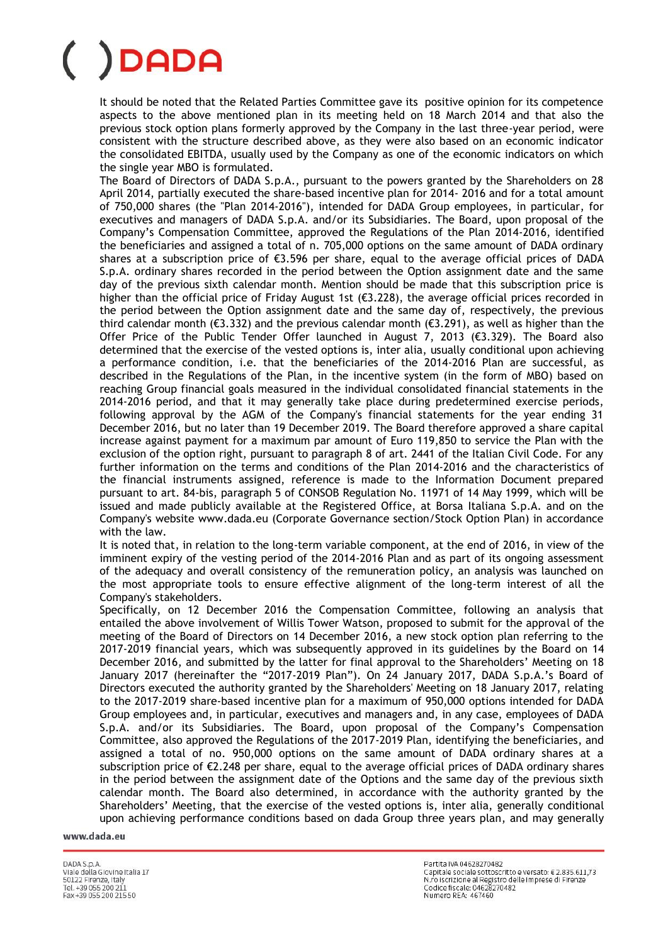It should be noted that the Related Parties Committee gave its positive opinion for its competence aspects to the above mentioned plan in its meeting held on 18 March 2014 and that also the previous stock option plans formerly approved by the Company in the last three-year period, were consistent with the structure described above, as they were also based on an economic indicator the consolidated EBITDA, usually used by the Company as one of the economic indicators on which the single year MBO is formulated.

The Board of Directors of DADA S.p.A., pursuant to the powers granted by the Shareholders on 28 April 2014, partially executed the share-based incentive plan for 2014- 2016 and for a total amount of 750,000 shares (the "Plan 2014-2016"), intended for DADA Group employees, in particular, for executives and managers of DADA S.p.A. and/or its Subsidiaries. The Board, upon proposal of the Company's Compensation Committee, approved the Regulations of the Plan 2014-2016, identified the beneficiaries and assigned a total of n. 705,000 options on the same amount of DADA ordinary shares at a subscription price of €3.596 per share, equal to the average official prices of DADA S.p.A. ordinary shares recorded in the period between the Option assignment date and the same day of the previous sixth calendar month. Mention should be made that this subscription price is higher than the official price of Friday August 1st ( $\epsilon$ 3.228), the average official prices recorded in the period between the Option assignment date and the same day of, respectively, the previous third calendar month (€3.332) and the previous calendar month (€3.291), as well as higher than the Offer Price of the Public Tender Offer launched in August 7, 2013 ( $\epsilon$ 3.329). The Board also determined that the exercise of the vested options is, inter alia, usually conditional upon achieving a performance condition, i.e. that the beneficiaries of the 2014-2016 Plan are successful, as described in the Regulations of the Plan, in the incentive system (in the form of MBO) based on reaching Group financial goals measured in the individual consolidated financial statements in the 2014-2016 period, and that it may generally take place during predetermined exercise periods, following approval by the AGM of the Company's financial statements for the year ending 31 December 2016, but no later than 19 December 2019. The Board therefore approved a share capital increase against payment for a maximum par amount of Euro 119,850 to service the Plan with the exclusion of the option right, pursuant to paragraph 8 of art. 2441 of the Italian Civil Code. For any further information on the terms and conditions of the Plan 2014-2016 and the characteristics of the financial instruments assigned, reference is made to the Information Document prepared pursuant to art. 84-bis, paragraph 5 of CONSOB Regulation No. 11971 of 14 May 1999, which will be issued and made publicly available at the Registered Office, at Borsa Italiana S.p.A. and on the Company's website www.dada.eu (Corporate Governance section/Stock Option Plan) in accordance with the law.

It is noted that, in relation to the long-term variable component, at the end of 2016, in view of the imminent expiry of the vesting period of the 2014-2016 Plan and as part of its ongoing assessment of the adequacy and overall consistency of the remuneration policy, an analysis was launched on the most appropriate tools to ensure effective alignment of the long-term interest of all the Company's stakeholders.

Specifically, on 12 December 2016 the Compensation Committee, following an analysis that entailed the above involvement of Willis Tower Watson, proposed to submit for the approval of the meeting of the Board of Directors on 14 December 2016, a new stock option plan referring to the 2017-2019 financial years, which was subsequently approved in its guidelines by the Board on 14 December 2016, and submitted by the latter for final approval to the Shareholders' Meeting on 18 January 2017 (hereinafter the "2017-2019 Plan"). On 24 January 2017, DADA S.p.A.'s Board of Directors executed the authority granted by the Shareholders' Meeting on 18 January 2017, relating to the 2017-2019 share-based incentive plan for a maximum of 950,000 options intended for DADA Group employees and, in particular, executives and managers and, in any case, employees of DADA S.p.A. and/or its Subsidiaries. The Board, upon proposal of the Company's Compensation Committee, also approved the Regulations of the 2017-2019 Plan, identifying the beneficiaries, and assigned a total of no. 950,000 options on the same amount of DADA ordinary shares at a subscription price of  $\epsilon$ 2.248 per share, equal to the average official prices of DADA ordinary shares in the period between the assignment date of the Options and the same day of the previous sixth calendar month. The Board also determined, in accordance with the authority granted by the Shareholders' Meeting, that the exercise of the vested options is, inter alia, generally conditional upon achieving performance conditions based on dada Group three years plan, and may generally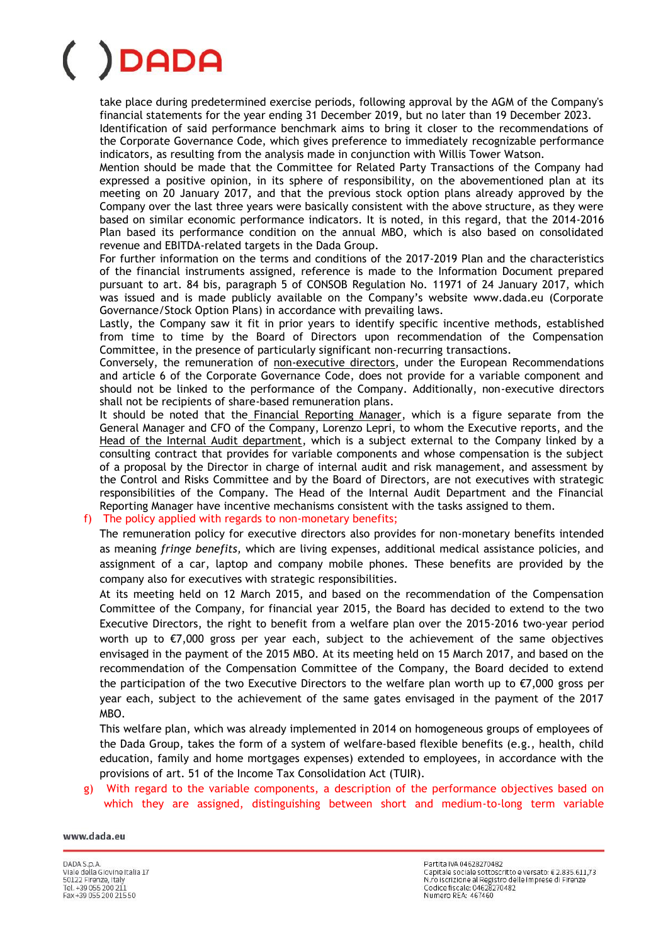take place during predetermined exercise periods, following approval by the AGM of the Company's financial statements for the year ending 31 December 2019, but no later than 19 December 2023. Identification of said performance benchmark aims to bring it closer to the recommendations of the Corporate Governance Code, which gives preference to immediately recognizable performance indicators, as resulting from the analysis made in conjunction with Willis Tower Watson.

Mention should be made that the Committee for Related Party Transactions of the Company had expressed a positive opinion, in its sphere of responsibility, on the abovementioned plan at its meeting on 20 January 2017, and that the previous stock option plans already approved by the Company over the last three years were basically consistent with the above structure, as they were based on similar economic performance indicators. It is noted, in this regard, that the 2014-2016 Plan based its performance condition on the annual MBO, which is also based on consolidated revenue and EBITDA-related targets in the Dada Group.

For further information on the terms and conditions of the 2017-2019 Plan and the characteristics of the financial instruments assigned, reference is made to the Information Document prepared pursuant to art. 84 bis, paragraph 5 of CONSOB Regulation No. 11971 of 24 January 2017, which was issued and is made publicly available on the Company's website www.dada.eu (Corporate Governance/Stock Option Plans) in accordance with prevailing laws.

Lastly, the Company saw it fit in prior years to identify specific incentive methods, established from time to time by the Board of Directors upon recommendation of the Compensation Committee, in the presence of particularly significant non-recurring transactions.

Conversely, the remuneration of non-executive directors, under the European Recommendations and article 6 of the Corporate Governance Code, does not provide for a variable component and should not be linked to the performance of the Company. Additionally, non-executive directors shall not be recipients of share-based remuneration plans.

It should be noted that the Financial Reporting Manager, which is a figure separate from the General Manager and CFO of the Company, Lorenzo Lepri, to whom the Executive reports, and the Head of the Internal Audit department, which is a subject external to the Company linked by a consulting contract that provides for variable components and whose compensation is the subject of a proposal by the Director in charge of internal audit and risk management, and assessment by the Control and Risks Committee and by the Board of Directors, are not executives with strategic responsibilities of the Company. The Head of the Internal Audit Department and the Financial Reporting Manager have incentive mechanisms consistent with the tasks assigned to them.

### f) The policy applied with regards to non-monetary benefits;

The remuneration policy for executive directors also provides for non-monetary benefits intended as meaning *fringe benefits,* which are living expenses, additional medical assistance policies, and assignment of a car, laptop and company mobile phones. These benefits are provided by the company also for executives with strategic responsibilities.

At its meeting held on 12 March 2015, and based on the recommendation of the Compensation Committee of the Company, for financial year 2015, the Board has decided to extend to the two Executive Directors, the right to benefit from a welfare plan over the 2015-2016 two-year period worth up to €7,000 gross per year each, subject to the achievement of the same objectives envisaged in the payment of the 2015 MBO. At its meeting held on 15 March 2017, and based on the recommendation of the Compensation Committee of the Company, the Board decided to extend the participation of the two Executive Directors to the welfare plan worth up to  $\epsilon$ 7,000 gross per year each, subject to the achievement of the same gates envisaged in the payment of the 2017 MBO.

This welfare plan, which was already implemented in 2014 on homogeneous groups of employees of the Dada Group, takes the form of a system of welfare-based flexible benefits (e.g., health, child education, family and home mortgages expenses) extended to employees, in accordance with the provisions of art. 51 of the Income Tax Consolidation Act (TUIR).

With regard to the variable components, a description of the performance objectives based on which they are assigned, distinguishing between short and medium-to-long term variable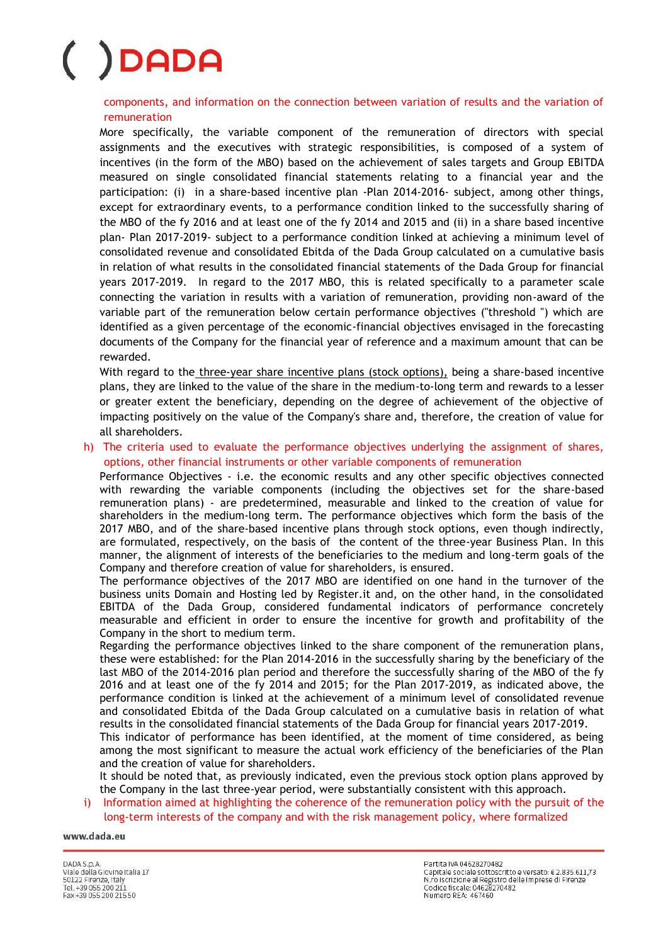components, and information on the connection between variation of results and the variation of remuneration

More specifically, the variable component of the remuneration of directors with special assignments and the executives with strategic responsibilities, is composed of a system of incentives (in the form of the MBO) based on the achievement of sales targets and Group EBITDA measured on single consolidated financial statements relating to a financial year and the participation: (i) in a share-based incentive plan -Plan 2014-2016- subject, among other things, except for extraordinary events, to a performance condition linked to the successfully sharing of the MBO of the fy 2016 and at least one of the fy 2014 and 2015 and (ii) in a share based incentive plan- Plan 2017-2019- subject to a performance condition linked at achieving a minimum level of consolidated revenue and consolidated Ebitda of the Dada Group calculated on a cumulative basis in relation of what results in the consolidated financial statements of the Dada Group for financial years 2017-2019. In regard to the 2017 MBO, this is related specifically to a parameter scale connecting the variation in results with a variation of remuneration, providing non-award of the variable part of the remuneration below certain performance objectives ("threshold ") which are identified as a given percentage of the economic-financial objectives envisaged in the forecasting documents of the Company for the financial year of reference and a maximum amount that can be rewarded.

With regard to the three-year share incentive plans (stock options), being a share-based incentive plans, they are linked to the value of the share in the medium-to-long term and rewards to a lesser or greater extent the beneficiary, depending on the degree of achievement of the objective of impacting positively on the value of the Company's share and, therefore, the creation of value for all shareholders.

h) The criteria used to evaluate the performance objectives underlying the assignment of shares, options, other financial instruments or other variable components of remuneration

Performance Objectives - i.e. the economic results and any other specific objectives connected with rewarding the variable components (including the objectives set for the share-based remuneration plans) - are predetermined, measurable and linked to the creation of value for shareholders in the medium-long term. The performance objectives which form the basis of the 2017 MBO, and of the share-based incentive plans through stock options, even though indirectly, are formulated, respectively, on the basis of the content of the three-year Business Plan. In this manner, the alignment of interests of the beneficiaries to the medium and long-term goals of the Company and therefore creation of value for shareholders, is ensured.

The performance objectives of the 2017 MBO are identified on one hand in the turnover of the business units Domain and Hosting led by Register.it and, on the other hand, in the consolidated EBITDA of the Dada Group, considered fundamental indicators of performance concretely measurable and efficient in order to ensure the incentive for growth and profitability of the Company in the short to medium term.

Regarding the performance objectives linked to the share component of the remuneration plans, these were established: for the Plan 2014-2016 in the successfully sharing by the beneficiary of the last MBO of the 2014-2016 plan period and therefore the successfully sharing of the MBO of the fy 2016 and at least one of the fy 2014 and 2015; for the Plan 2017-2019, as indicated above, the performance condition is linked at the achievement of a minimum level of consolidated revenue and consolidated Ebitda of the Dada Group calculated on a cumulative basis in relation of what results in the consolidated financial statements of the Dada Group for financial years 2017-2019.

This indicator of performance has been identified, at the moment of time considered, as being among the most significant to measure the actual work efficiency of the beneficiaries of the Plan and the creation of value for shareholders.

It should be noted that, as previously indicated, even the previous stock option plans approved by the Company in the last three-year period, were substantially consistent with this approach.

i) Information aimed at highlighting the coherence of the remuneration policy with the pursuit of the long-term interests of the company and with the risk management policy, where formalized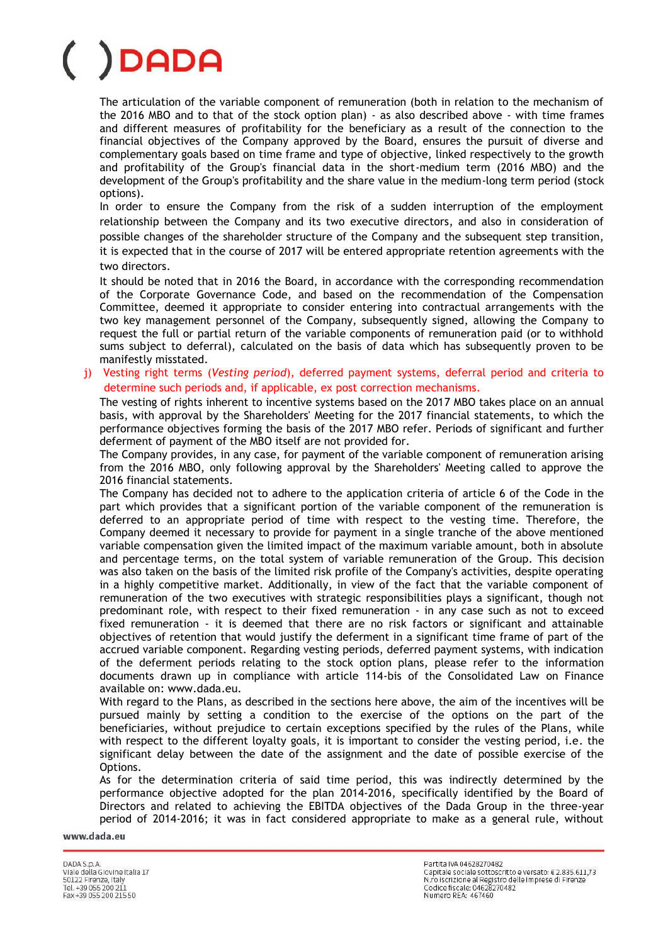The articulation of the variable component of remuneration (both in relation to the mechanism of the 2016 MBO and to that of the stock option plan) - as also described above - with time frames and different measures of profitability for the beneficiary as a result of the connection to the financial objectives of the Company approved by the Board, ensures the pursuit of diverse and complementary goals based on time frame and type of objective, linked respectively to the growth and profitability of the Group's financial data in the short-medium term (2016 MBO) and the development of the Group's profitability and the share value in the medium-long term period (stock options).

In order to ensure the Company from the risk of a sudden interruption of the employment relationship between the Company and its two executive directors, and also in consideration of possible changes of the shareholder structure of the Company and the subsequent step transition, it is expected that in the course of 2017 will be entered appropriate retention agreements with the two directors.

It should be noted that in 2016 the Board, in accordance with the corresponding recommendation of the Corporate Governance Code, and based on the recommendation of the Compensation Committee, deemed it appropriate to consider entering into contractual arrangements with the two key management personnel of the Company, subsequently signed, allowing the Company to request the full or partial return of the variable components of remuneration paid (or to withhold sums subject to deferral), calculated on the basis of data which has subsequently proven to be manifestly misstated.

### j) Vesting right terms (*Vesting period*), deferred payment systems, deferral period and criteria to determine such periods and, if applicable, ex post correction mechanisms*.*

The vesting of rights inherent to incentive systems based on the 2017 MBO takes place on an annual basis, with approval by the Shareholders' Meeting for the 2017 financial statements, to which the performance objectives forming the basis of the 2017 MBO refer. Periods of significant and further deferment of payment of the MBO itself are not provided for.

The Company provides, in any case, for payment of the variable component of remuneration arising from the 2016 MBO, only following approval by the Shareholders' Meeting called to approve the 2016 financial statements.

The Company has decided not to adhere to the application criteria of article 6 of the Code in the part which provides that a significant portion of the variable component of the remuneration is deferred to an appropriate period of time with respect to the vesting time. Therefore, the Company deemed it necessary to provide for payment in a single tranche of the above mentioned variable compensation given the limited impact of the maximum variable amount, both in absolute and percentage terms, on the total system of variable remuneration of the Group. This decision was also taken on the basis of the limited risk profile of the Company's activities, despite operating in a highly competitive market. Additionally, in view of the fact that the variable component of remuneration of the two executives with strategic responsibilities plays a significant, though not predominant role, with respect to their fixed remuneration - in any case such as not to exceed fixed remuneration - it is deemed that there are no risk factors or significant and attainable objectives of retention that would justify the deferment in a significant time frame of part of the accrued variable component. Regarding vesting periods, deferred payment systems, with indication of the deferment periods relating to the stock option plans, please refer to the information documents drawn up in compliance with article 114-bis of the Consolidated Law on Finance available on: www.dada.eu.

With regard to the Plans, as described in the sections here above, the aim of the incentives will be pursued mainly by setting a condition to the exercise of the options on the part of the beneficiaries, without prejudice to certain exceptions specified by the rules of the Plans, while with respect to the different loyalty goals, it is important to consider the vesting period, i.e. the significant delay between the date of the assignment and the date of possible exercise of the Options.

As for the determination criteria of said time period, this was indirectly determined by the performance objective adopted for the plan 2014-2016, specifically identified by the Board of Directors and related to achieving the EBITDA objectives of the Dada Group in the three-year period of 2014-2016; it was in fact considered appropriate to make as a general rule, without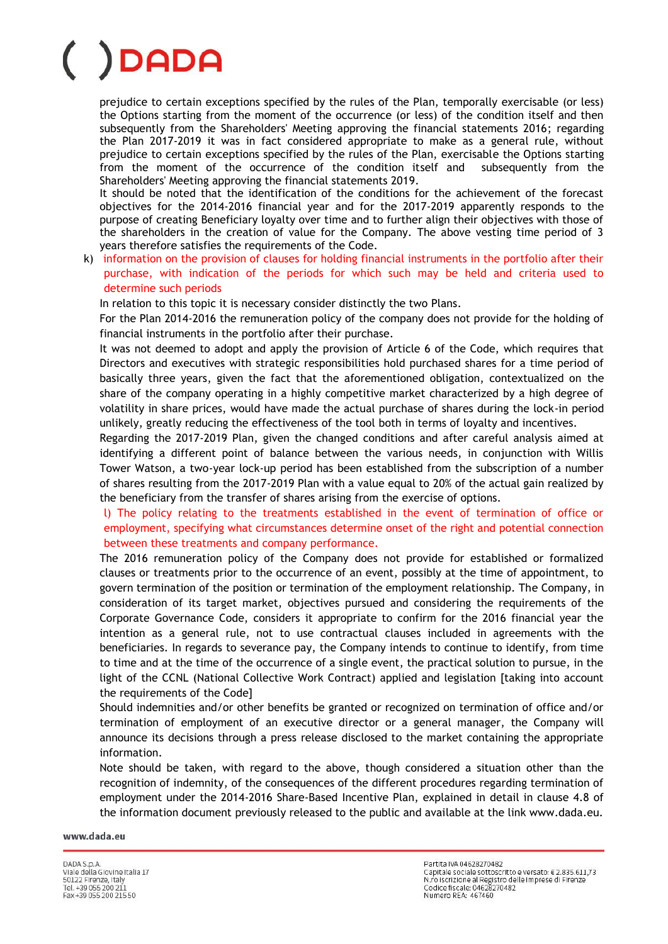prejudice to certain exceptions specified by the rules of the Plan, temporally exercisable (or less) the Options starting from the moment of the occurrence (or less) of the condition itself and then subsequently from the Shareholders' Meeting approving the financial statements 2016; regarding the Plan 2017-2019 it was in fact considered appropriate to make as a general rule, without prejudice to certain exceptions specified by the rules of the Plan, exercisable the Options starting from the moment of the occurrence of the condition itself and subsequently from the Shareholders' Meeting approving the financial statements 2019.

It should be noted that the identification of the conditions for the achievement of the forecast objectives for the 2014-2016 financial year and for the 2017-2019 apparently responds to the purpose of creating Beneficiary loyalty over time and to further align their objectives with those of the shareholders in the creation of value for the Company. The above vesting time period of 3 years therefore satisfies the requirements of the Code.

k) information on the provision of clauses for holding financial instruments in the portfolio after their purchase, with indication of the periods for which such may be held and criteria used to determine such periods

In relation to this topic it is necessary consider distinctly the two Plans.

For the Plan 2014-2016 the remuneration policy of the company does not provide for the holding of financial instruments in the portfolio after their purchase.

It was not deemed to adopt and apply the provision of Article 6 of the Code, which requires that Directors and executives with strategic responsibilities hold purchased shares for a time period of basically three years, given the fact that the aforementioned obligation, contextualized on the share of the company operating in a highly competitive market characterized by a high degree of volatility in share prices, would have made the actual purchase of shares during the lock-in period unlikely, greatly reducing the effectiveness of the tool both in terms of loyalty and incentives.

Regarding the 2017-2019 Plan, given the changed conditions and after careful analysis aimed at identifying a different point of balance between the various needs, in conjunction with Willis Tower Watson, a two-year lock-up period has been established from the subscription of a number of shares resulting from the 2017-2019 Plan with a value equal to 20% of the actual gain realized by the beneficiary from the transfer of shares arising from the exercise of options.

l) The policy relating to the treatments established in the event of termination of office or employment, specifying what circumstances determine onset of the right and potential connection between these treatments and company performance.

The 2016 remuneration policy of the Company does not provide for established or formalized clauses or treatments prior to the occurrence of an event, possibly at the time of appointment, to govern termination of the position or termination of the employment relationship. The Company, in consideration of its target market, objectives pursued and considering the requirements of the Corporate Governance Code, considers it appropriate to confirm for the 2016 financial year the intention as a general rule, not to use contractual clauses included in agreements with the beneficiaries. In regards to severance pay, the Company intends to continue to identify, from time to time and at the time of the occurrence of a single event, the practical solution to pursue, in the light of the CCNL (National Collective Work Contract) applied and legislation [taking into account the requirements of the Code]

Should indemnities and/or other benefits be granted or recognized on termination of office and/or termination of employment of an executive director or a general manager, the Company will announce its decisions through a press release disclosed to the market containing the appropriate information.

Note should be taken, with regard to the above, though considered a situation other than the recognition of indemnity, of the consequences of the different procedures regarding termination of employment under the 2014-2016 Share-Based Incentive Plan, explained in detail in clause 4.8 of the information document previously released to the public and available at the link www.dada.eu.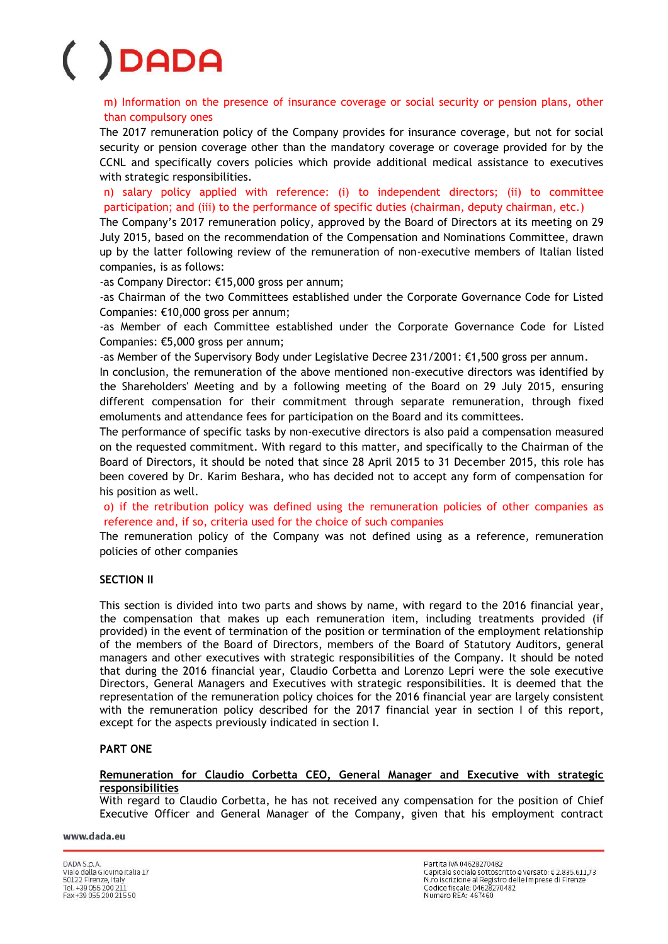m) Information on the presence of insurance coverage or social security or pension plans, other than compulsory ones

The 2017 remuneration policy of the Company provides for insurance coverage, but not for social security or pension coverage other than the mandatory coverage or coverage provided for by the CCNL and specifically covers policies which provide additional medical assistance to executives with strategic responsibilities.

n) salary policy applied with reference: (i) to independent directors; (ii) to committee participation; and (iii) to the performance of specific duties (chairman, deputy chairman, etc.)

The Company's 2017 remuneration policy, approved by the Board of Directors at its meeting on 29 July 2015, based on the recommendation of the Compensation and Nominations Committee, drawn up by the latter following review of the remuneration of non-executive members of Italian listed companies, is as follows:

-as Company Director: €15,000 gross per annum;

-as Chairman of the two Committees established under the Corporate Governance Code for Listed Companies: €10,000 gross per annum;

-as Member of each Committee established under the Corporate Governance Code for Listed Companies: €5,000 gross per annum;

-as Member of the Supervisory Body under Legislative Decree 231/2001: €1,500 gross per annum.

In conclusion, the remuneration of the above mentioned non-executive directors was identified by the Shareholders' Meeting and by a following meeting of the Board on 29 July 2015, ensuring different compensation for their commitment through separate remuneration, through fixed emoluments and attendance fees for participation on the Board and its committees.

The performance of specific tasks by non-executive directors is also paid a compensation measured on the requested commitment. With regard to this matter, and specifically to the Chairman of the Board of Directors, it should be noted that since 28 April 2015 to 31 December 2015, this role has been covered by Dr. Karim Beshara, who has decided not to accept any form of compensation for his position as well.

o) if the retribution policy was defined using the remuneration policies of other companies as reference and, if so, criteria used for the choice of such companies

The remuneration policy of the Company was not defined using as a reference, remuneration policies of other companies

### **SECTION II**

This section is divided into two parts and shows by name, with regard to the 2016 financial year, the compensation that makes up each remuneration item, including treatments provided (if provided) in the event of termination of the position or termination of the employment relationship of the members of the Board of Directors, members of the Board of Statutory Auditors, general managers and other executives with strategic responsibilities of the Company. It should be noted that during the 2016 financial year, Claudio Corbetta and Lorenzo Lepri were the sole executive Directors, General Managers and Executives with strategic responsibilities. It is deemed that the representation of the remuneration policy choices for the 2016 financial year are largely consistent with the remuneration policy described for the 2017 financial year in section I of this report, except for the aspects previously indicated in section I.

### **PART ONE**

### **Remuneration for Claudio Corbetta CEO, General Manager and Executive with strategic responsibilities**

With regard to Claudio Corbetta, he has not received any compensation for the position of Chief Executive Officer and General Manager of the Company, given that his employment contract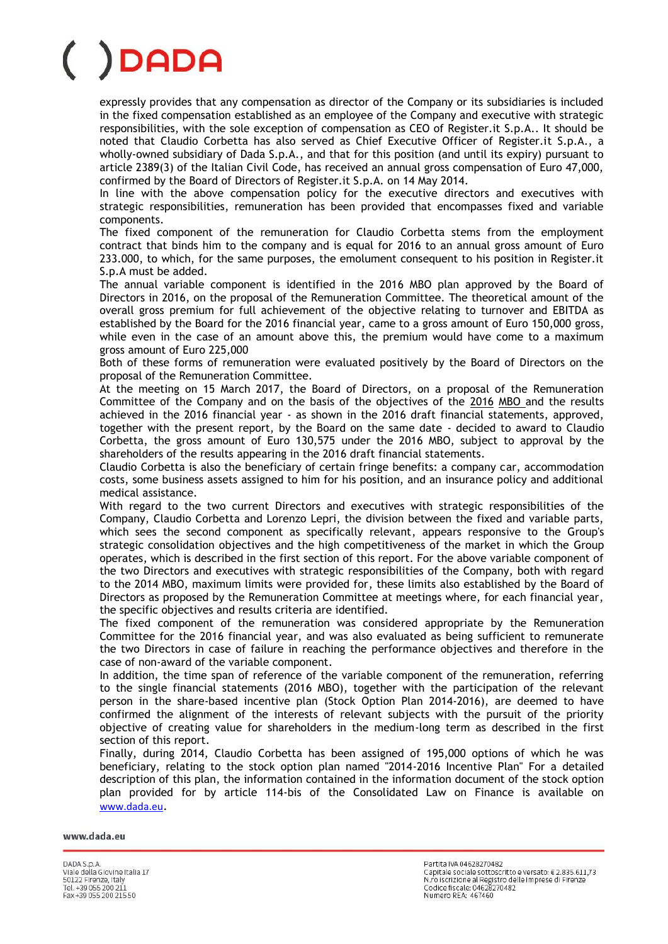expressly provides that any compensation as director of the Company or its subsidiaries is included in the fixed compensation established as an employee of the Company and executive with strategic responsibilities, with the sole exception of compensation as CEO of Register.it S.p.A.. It should be noted that Claudio Corbetta has also served as Chief Executive Officer of Register.it S.p.A., a wholly-owned subsidiary of Dada S.p.A., and that for this position (and until its expiry) pursuant to article 2389(3) of the Italian Civil Code, has received an annual gross compensation of Euro 47,000, confirmed by the Board of Directors of Register.it S.p.A. on 14 May 2014.

In line with the above compensation policy for the executive directors and executives with strategic responsibilities, remuneration has been provided that encompasses fixed and variable components.

The fixed component of the remuneration for Claudio Corbetta stems from the employment contract that binds him to the company and is equal for 2016 to an annual gross amount of Euro 233.000, to which, for the same purposes, the emolument consequent to his position in Register.it S.p.A must be added.

The annual variable component is identified in the 2016 MBO plan approved by the Board of Directors in 2016, on the proposal of the Remuneration Committee. The theoretical amount of the overall gross premium for full achievement of the objective relating to turnover and EBITDA as established by the Board for the 2016 financial year, came to a gross amount of Euro 150,000 gross, while even in the case of an amount above this, the premium would have come to a maximum gross amount of Euro 225,000

Both of these forms of remuneration were evaluated positively by the Board of Directors on the proposal of the Remuneration Committee.

At the meeting on 15 March 2017, the Board of Directors, on a proposal of the Remuneration Committee of the Company and on the basis of the objectives of the 2016 MBO and the results achieved in the 2016 financial year - as shown in the 2016 draft financial statements, approved, together with the present report, by the Board on the same date - decided to award to Claudio Corbetta, the gross amount of Euro 130,575 under the 2016 MBO, subject to approval by the shareholders of the results appearing in the 2016 draft financial statements.

Claudio Corbetta is also the beneficiary of certain fringe benefits: a company car, accommodation costs, some business assets assigned to him for his position, and an insurance policy and additional medical assistance.

With regard to the two current Directors and executives with strategic responsibilities of the Company, Claudio Corbetta and Lorenzo Lepri, the division between the fixed and variable parts, which sees the second component as specifically relevant, appears responsive to the Group's strategic consolidation objectives and the high competitiveness of the market in which the Group operates, which is described in the first section of this report. For the above variable component of the two Directors and executives with strategic responsibilities of the Company, both with regard to the 2014 MBO, maximum limits were provided for, these limits also established by the Board of Directors as proposed by the Remuneration Committee at meetings where, for each financial year, the specific objectives and results criteria are identified.

The fixed component of the remuneration was considered appropriate by the Remuneration Committee for the 2016 financial year, and was also evaluated as being sufficient to remunerate the two Directors in case of failure in reaching the performance objectives and therefore in the case of non-award of the variable component.

In addition, the time span of reference of the variable component of the remuneration, referring to the single financial statements (2016 MBO), together with the participation of the relevant person in the share-based incentive plan (Stock Option Plan 2014-2016), are deemed to have confirmed the alignment of the interests of relevant subjects with the pursuit of the priority objective of creating value for shareholders in the medium-long term as described in the first section of this report.

Finally, during 2014, Claudio Corbetta has been assigned of 195,000 options of which he was beneficiary, relating to the stock option plan named "2014-2016 Incentive Plan" For a detailed description of this plan, the information contained in the information document of the stock option plan provided for by article 114-bis of the Consolidated Law on Finance is available on [www.dada.eu](http://www.dada.eu/).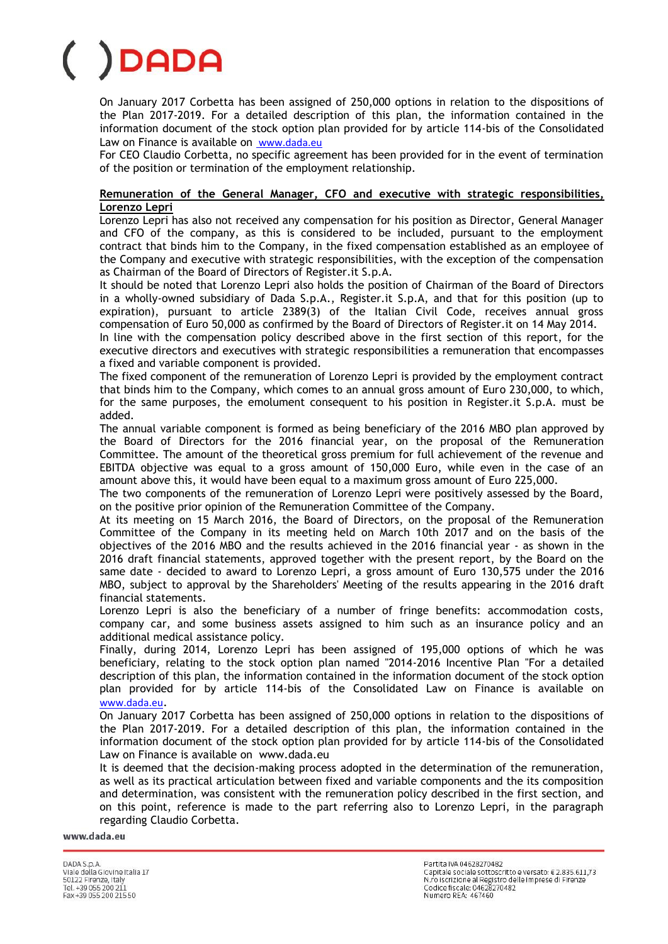On January 2017 Corbetta has been assigned of 250,000 options in relation to the dispositions of the Plan 2017-2019. For a detailed description of this plan, the information contained in the information document of the stock option plan provided for by article 114-bis of the Consolidated Law on Finance is available on [www.dada.eu](http://www.dada.eu/)

For CEO Claudio Corbetta, no specific agreement has been provided for in the event of termination of the position or termination of the employment relationship.

### **Remuneration of the General Manager, CFO and executive with strategic responsibilities, Lorenzo Lepri**

Lorenzo Lepri has also not received any compensation for his position as Director, General Manager and CFO of the company, as this is considered to be included, pursuant to the employment contract that binds him to the Company, in the fixed compensation established as an employee of the Company and executive with strategic responsibilities, with the exception of the compensation as Chairman of the Board of Directors of Register.it S.p.A.

It should be noted that Lorenzo Lepri also holds the position of Chairman of the Board of Directors in a wholly-owned subsidiary of Dada S.p.A., Register.it S.p.A, and that for this position (up to expiration), pursuant to article 2389(3) of the Italian Civil Code, receives annual gross compensation of Euro 50,000 as confirmed by the Board of Directors of Register.it on 14 May 2014.

In line with the compensation policy described above in the first section of this report, for the executive directors and executives with strategic responsibilities a remuneration that encompasses a fixed and variable component is provided.

The fixed component of the remuneration of Lorenzo Lepri is provided by the employment contract that binds him to the Company, which comes to an annual gross amount of Euro 230,000, to which, for the same purposes, the emolument consequent to his position in Register.it S.p.A. must be added.

The annual variable component is formed as being beneficiary of the 2016 MBO plan approved by the Board of Directors for the 2016 financial year, on the proposal of the Remuneration Committee. The amount of the theoretical gross premium for full achievement of the revenue and EBITDA objective was equal to a gross amount of 150,000 Euro, while even in the case of an amount above this, it would have been equal to a maximum gross amount of Euro 225,000.

The two components of the remuneration of Lorenzo Lepri were positively assessed by the Board, on the positive prior opinion of the Remuneration Committee of the Company.

At its meeting on 15 March 2016, the Board of Directors, on the proposal of the Remuneration Committee of the Company in its meeting held on March 10th 2017 and on the basis of the objectives of the 2016 MBO and the results achieved in the 2016 financial year - as shown in the 2016 draft financial statements, approved together with the present report, by the Board on the same date - decided to award to Lorenzo Lepri, a gross amount of Euro 130,575 under the 2016 MBO, subject to approval by the Shareholders' Meeting of the results appearing in the 2016 draft financial statements.

Lorenzo Lepri is also the beneficiary of a number of fringe benefits: accommodation costs, company car, and some business assets assigned to him such as an insurance policy and an additional medical assistance policy.

Finally, during 2014, Lorenzo Lepri has been assigned of 195,000 options of which he was beneficiary, relating to the stock option plan named "2014-2016 Incentive Plan "For a detailed description of this plan, the information contained in the information document of the stock option plan provided for by article 114-bis of the Consolidated Law on Finance is available on [www.dada.eu](http://www.dada.eu/).

On January 2017 Corbetta has been assigned of 250,000 options in relation to the dispositions of the Plan 2017-2019. For a detailed description of this plan, the information contained in the information document of the stock option plan provided for by article 114-bis of the Consolidated Law on Finance is available on www.dada.eu

It is deemed that the decision-making process adopted in the determination of the remuneration, as well as its practical articulation between fixed and variable components and the its composition and determination, was consistent with the remuneration policy described in the first section, and on this point, reference is made to the part referring also to Lorenzo Lepri, in the paragraph regarding Claudio Corbetta.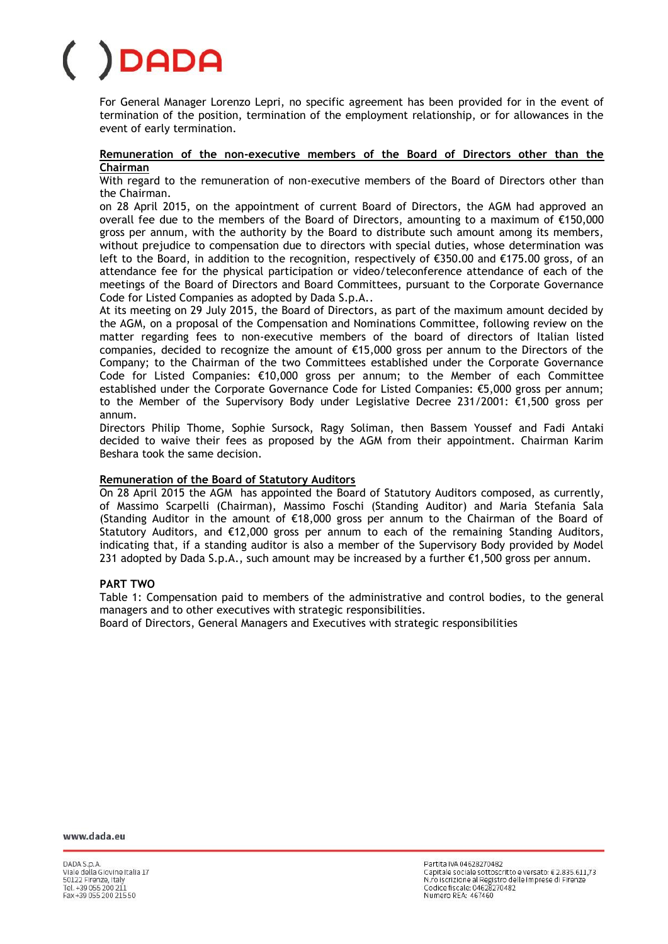For General Manager Lorenzo Lepri, no specific agreement has been provided for in the event of termination of the position, termination of the employment relationship, or for allowances in the event of early termination.

### **Remuneration of the non-executive members of the Board of Directors other than the Chairman**

With regard to the remuneration of non-executive members of the Board of Directors other than the Chairman.

on 28 April 2015, on the appointment of current Board of Directors, the AGM had approved an overall fee due to the members of the Board of Directors, amounting to a maximum of €150,000 gross per annum, with the authority by the Board to distribute such amount among its members, without prejudice to compensation due to directors with special duties, whose determination was left to the Board, in addition to the recognition, respectively of €350.00 and €175.00 gross, of an attendance fee for the physical participation or video/teleconference attendance of each of the meetings of the Board of Directors and Board Committees, pursuant to the Corporate Governance Code for Listed Companies as adopted by Dada S.p.A..

At its meeting on 29 July 2015, the Board of Directors, as part of the maximum amount decided by the AGM, on a proposal of the Compensation and Nominations Committee, following review on the matter regarding fees to non-executive members of the board of directors of Italian listed companies, decided to recognize the amount of €15,000 gross per annum to the Directors of the Company; to the Chairman of the two Committees established under the Corporate Governance Code for Listed Companies: €10,000 gross per annum; to the Member of each Committee established under the Corporate Governance Code for Listed Companies: €5,000 gross per annum; to the Member of the Supervisory Body under Legislative Decree 231/2001: €1,500 gross per annum.

Directors Philip Thome, Sophie Sursock, Ragy Soliman, then Bassem Youssef and Fadi Antaki decided to waive their fees as proposed by the AGM from their appointment. Chairman Karim Beshara took the same decision.

### **Remuneration of the Board of Statutory Auditors**

On 28 April 2015 the AGM has appointed the Board of Statutory Auditors composed, as currently, of Massimo Scarpelli (Chairman), Massimo Foschi (Standing Auditor) and Maria Stefania Sala (Standing Auditor in the amount of  $\epsilon$ 18,000 gross per annum to the Chairman of the Board of Statutory Auditors, and €12,000 gross per annum to each of the remaining Standing Auditors, indicating that, if a standing auditor is also a member of the Supervisory Body provided by Model 231 adopted by Dada S.p.A., such amount may be increased by a further €1,500 gross per annum.

### **PART TWO**

Table 1: Compensation paid to members of the administrative and control bodies, to the general managers and to other executives with strategic responsibilities.

Board of Directors, General Managers and Executives with strategic responsibilities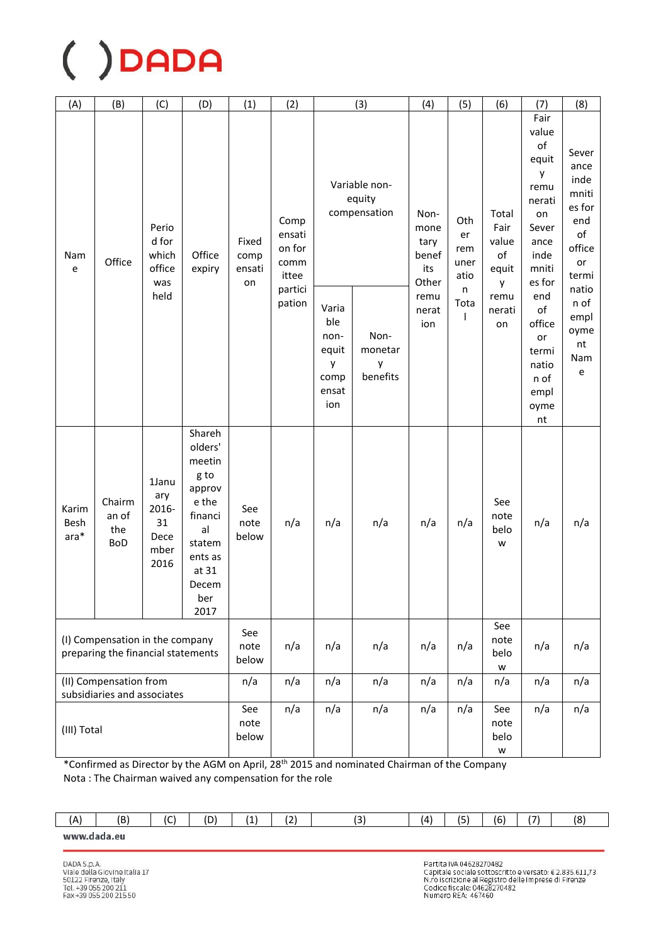| (A)                     | (B)                                                                   | (C)                                                 | (D)                                                                                                                           | (1)                           | (2)                                       |                                                            | (3)                                     | (4)                                           | (5)                              | (6)                                   | (7)                                                                                                   | (8)                                                                            |
|-------------------------|-----------------------------------------------------------------------|-----------------------------------------------------|-------------------------------------------------------------------------------------------------------------------------------|-------------------------------|-------------------------------------------|------------------------------------------------------------|-----------------------------------------|-----------------------------------------------|----------------------------------|---------------------------------------|-------------------------------------------------------------------------------------------------------|--------------------------------------------------------------------------------|
| Nam<br>e                | Office                                                                | Perio<br>d for<br>which<br>office<br>was            | Office<br>expiry                                                                                                              | Fixed<br>comp<br>ensati<br>on | Comp<br>ensati<br>on for<br>comm<br>ittee |                                                            | Variable non-<br>equity<br>compensation | Non-<br>mone<br>tary<br>benef<br>its<br>Other | Oth<br>er<br>rem<br>uner<br>atio | Total<br>Fair<br>value<br>of<br>equit | Fair<br>value<br>of<br>equit<br>у<br>remu<br>nerati<br>on<br>Sever<br>ance<br>inde<br>mniti<br>es for | Sever<br>ance<br>inde<br>mniti<br>es for<br>end<br>of<br>office<br>or<br>termi |
|                         |                                                                       | held                                                |                                                                                                                               |                               | partici<br>pation                         | Varia<br>ble<br>non-<br>equit<br>y<br>comp<br>ensat<br>ion | Non-<br>monetar<br>y<br>benefits        | remu<br>nerat<br>ion                          | n<br>Tota<br>$\mathbf{I}$        | у<br>remu<br>nerati<br>on             | end<br>of<br>office<br>or<br>termi<br>natio<br>n of<br>empl<br>oyme<br>nt                             | natio<br>n of<br>empl<br>oyme<br>nt<br>Nam<br>e                                |
| Karim<br>Besh<br>$ara*$ | Chairm<br>an of<br>the<br><b>BoD</b>                                  | 1Janu<br>ary<br>2016-<br>31<br>Dece<br>mber<br>2016 | Shareh<br>olders'<br>meetin<br>g to<br>approv<br>e the<br>financi<br>al<br>statem<br>ents as<br>at 31<br>Decem<br>ber<br>2017 | See<br>note<br>below          | n/a                                       | n/a                                                        | n/a                                     | n/a                                           | n/a                              | See<br>note<br>belo<br>W              | n/a                                                                                                   | n/a                                                                            |
|                         | (I) Compensation in the company<br>preparing the financial statements |                                                     |                                                                                                                               | See<br>note<br>below          | n/a                                       | n/a                                                        | n/a                                     | n/a                                           | n/a                              | See<br>note<br>belo<br>W              | n/a                                                                                                   | n/a                                                                            |
|                         | (II) Compensation from<br>subsidiaries and associates                 |                                                     |                                                                                                                               | n/a                           | n/a                                       | n/a                                                        | n/a                                     | n/a                                           | n/a                              | n/a                                   | n/a                                                                                                   | n/a                                                                            |
| (III) Total             |                                                                       |                                                     |                                                                                                                               | See<br>note<br>below          | n/a                                       | n/a                                                        | n/a                                     | n/a                                           | n/a                              | See<br>note<br>belo<br>W              | n/a                                                                                                   | n/a                                                                            |

\*Confirmed as Director by the AGM on April, 28<sup>th</sup> 2015 and nominated Chairman of the Company Nota: The Chairman waived any compensation for the role

| ÍА | (B | $\sim$<br>. . | (D) | . . | . . | $\sim$ | ίΔ١ | $\overline{\phantom{a}}$<br>. | (6' | 17 <sub>1</sub> | 18 |
|----|----|---------------|-----|-----|-----|--------|-----|-------------------------------|-----|-----------------|----|
|    |    |               |     |     |     |        |     |                               |     |                 |    |

www.dada.eu

Partita IVA 04628270482 Partita IVA 04628270482<br>Capitale sociale sottoscritto e versato: € 2.835.611,73<br>N.ro iscrizione al Registro delle Imprese di Firenze<br>Codice fiscale: 04628270482<br>Numero REA: 467460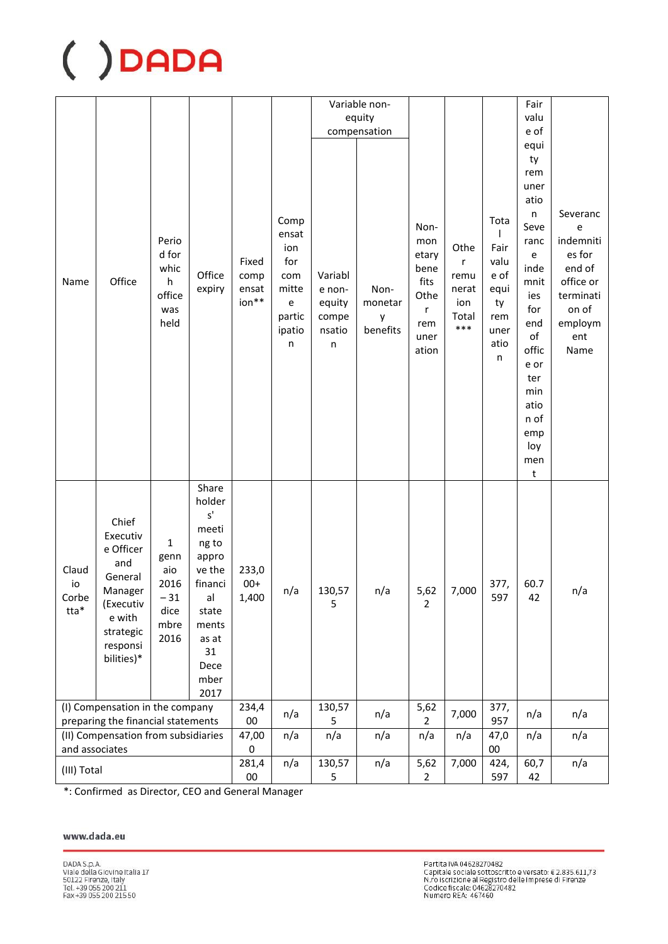|             |                                                       |                |                 |            |                                            |                 | Variable non- |                |                |                | Fair          |                |
|-------------|-------------------------------------------------------|----------------|-----------------|------------|--------------------------------------------|-----------------|---------------|----------------|----------------|----------------|---------------|----------------|
|             |                                                       |                |                 |            |                                            |                 | equity        |                |                |                | valu          |                |
|             |                                                       |                |                 |            |                                            |                 | compensation  |                |                |                | e of          |                |
|             |                                                       |                |                 |            |                                            |                 |               |                |                |                | equi          |                |
|             |                                                       |                |                 |            |                                            |                 |               |                |                |                | ty            |                |
|             |                                                       |                |                 |            |                                            |                 |               |                |                |                | rem           |                |
|             |                                                       |                |                 |            |                                            |                 |               |                |                |                | uner          |                |
|             |                                                       |                |                 |            |                                            |                 |               |                |                |                | atio          |                |
|             |                                                       |                |                 |            | Comp                                       |                 |               |                |                | Tota           | n             | Severanc       |
|             |                                                       |                |                 |            | ensat                                      |                 |               | Non-           |                | L              | Seve          | e<br>indemniti |
|             |                                                       | Perio<br>d for |                 |            | ion                                        |                 |               | mon<br>etary   | Othe           | Fair           | ranc<br>e     | es for         |
|             |                                                       | whic           |                 | Fixed      | for                                        |                 |               | bene           | r              | valu           | inde          | end of         |
| Name        | Office                                                | h              | Office          | comp       | com                                        | Variabl         |               | fits           | remu           | e of           | mnit          | office or      |
|             |                                                       | office         | expiry          | ensat      | mitte                                      | e non-          | Non-          | Othe           | nerat          | equi           | ies           | terminati      |
|             |                                                       | was            |                 | ion**      | $\mathsf{e}% _{0}\left( \mathsf{e}\right)$ | equity          | monetar       | r              | ion            | ty             | for           | on of          |
|             |                                                       | held           |                 |            | partic<br>ipatio                           | compe<br>nsatio | y<br>benefits | rem            | Total<br>$***$ | rem<br>uner    | end           | employm        |
|             |                                                       |                |                 |            | n                                          | n               |               | uner           |                | atio           | $\mathsf{of}$ | ent            |
|             |                                                       |                |                 |            |                                            |                 |               | ation          |                | n              | offic         | Name           |
|             |                                                       |                |                 |            |                                            |                 |               |                |                |                | e or          |                |
|             |                                                       |                |                 |            |                                            |                 |               |                |                |                | ter<br>min    |                |
|             |                                                       |                |                 |            |                                            |                 |               |                |                |                | atio          |                |
|             |                                                       |                |                 |            |                                            |                 |               |                |                |                | n of          |                |
|             |                                                       |                |                 |            |                                            |                 |               |                |                |                | emp           |                |
|             |                                                       |                |                 |            |                                            |                 |               |                |                |                | loy           |                |
|             |                                                       |                |                 |            |                                            |                 |               |                |                |                | men<br>t      |                |
|             |                                                       |                | Share           |            |                                            |                 |               |                |                |                |               |                |
|             |                                                       |                | holder          |            |                                            |                 |               |                |                |                |               |                |
|             | Chief                                                 |                | $\textsf{s}'$   |            |                                            |                 |               |                |                |                |               |                |
|             | Executiv                                              |                | meeti           |            |                                            |                 |               |                |                |                |               |                |
|             | e Officer                                             | 1              | ng to           |            |                                            |                 |               |                |                |                |               |                |
| Claud       | and                                                   | genn<br>aio    | appro<br>ve the | 233,0      |                                            |                 |               |                |                |                |               |                |
| io          | General                                               | 2016           | financi         | $00+$      |                                            |                 |               |                |                | 377,           | 60.7          |                |
| Corbe       | Manager                                               | 31             | al              | 1,400      | n/a                                        | 130,57          | n/a           | 5,62           | 7,000          | 597            | 42            | n/a            |
| tta*        | (Executiv                                             | dice           | state           |            |                                            | $\mathsf S$     |               | $\overline{2}$ |                |                |               |                |
|             | e with<br>strategic                                   | mbre           | ments           |            |                                            |                 |               |                |                |                |               |                |
|             | responsi                                              | 2016           | as at           |            |                                            |                 |               |                |                |                |               |                |
|             | bilities)*                                            |                | 31              |            |                                            |                 |               |                |                |                |               |                |
|             |                                                       |                | Dece            |            |                                            |                 |               |                |                |                |               |                |
|             |                                                       |                | mber<br>2017    |            |                                            |                 |               |                |                |                |               |                |
|             | (I) Compensation in the company                       |                |                 | 234,4      | n/a                                        | 130,57          | n/a           | 5,62           | 7,000          | 377,           | n/a           | n/a            |
|             | preparing the financial statements                    |                |                 | $00\,$     |                                            | 5               |               | 2              |                | 957            |               |                |
|             | (II) Compensation from subsidiaries<br>and associates |                |                 | 47,00<br>0 | n/a                                        | n/a             | n/a           | n/a            | n/a            | 47,0<br>$00\,$ | n/a           | n/a            |
| (III) Total |                                                       |                |                 | 281,4      | n/a                                        | 130,57          | n/a           | 5,62           | 7,000          | 424,           | 60,7          | n/a            |
|             |                                                       |                |                 | $00\,$     |                                            | 5               |               | $\overline{2}$ |                | 597            | 42            |                |

\*: Confirmed as Director, CEO and General Manager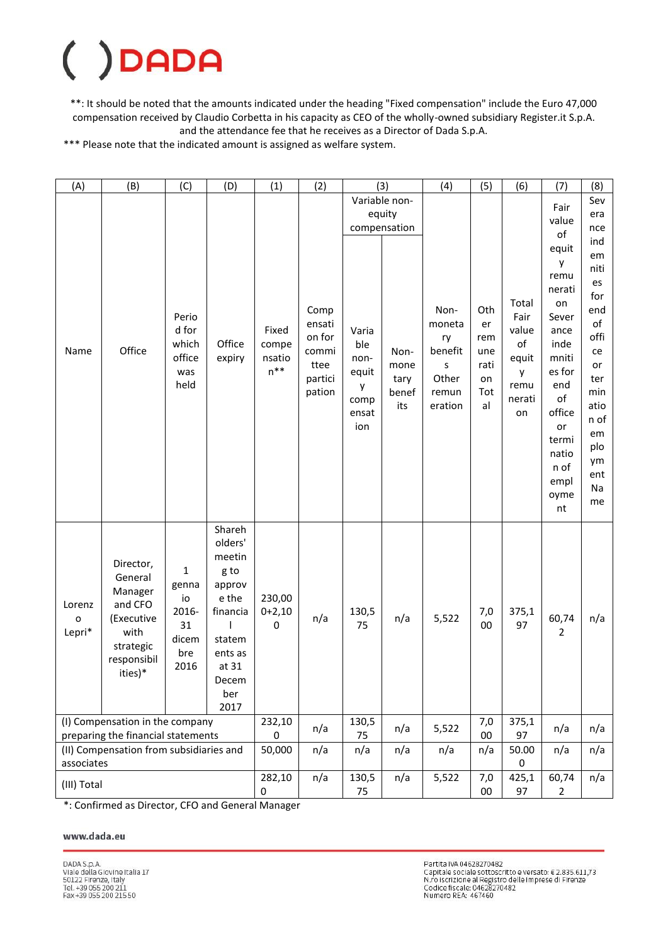### $\big($ DADA

\*\*: It should be noted that the amounts indicated under the heading "Fixed compensation" include the Euro 47,000 compensation received by Claudio Corbetta in his capacity as CEO of the wholly-owned subsidiary Register.it S.p.A. and the attendance fee that he receives as a Director of Dada S.p.A.

\*\*\* Please note that the indicated amount is assigned as welfare system.

| (A)                              | (B)                                                                                                     | (C)                                                               | (D)                                                                                                                           | (1)                                | (2)                                                            |                                                            | (3)                                     | (4)                                                               | (5)                                                | (6)                                                                | (7)                                                                                                                                                         | (8)                                                                                                                                 |
|----------------------------------|---------------------------------------------------------------------------------------------------------|-------------------------------------------------------------------|-------------------------------------------------------------------------------------------------------------------------------|------------------------------------|----------------------------------------------------------------|------------------------------------------------------------|-----------------------------------------|-------------------------------------------------------------------|----------------------------------------------------|--------------------------------------------------------------------|-------------------------------------------------------------------------------------------------------------------------------------------------------------|-------------------------------------------------------------------------------------------------------------------------------------|
|                                  |                                                                                                         |                                                                   |                                                                                                                               |                                    |                                                                |                                                            | Variable non-<br>equity<br>compensation |                                                                   |                                                    |                                                                    | Fair<br>value<br>of                                                                                                                                         | Sev<br>era<br>nce                                                                                                                   |
| Name                             | Office                                                                                                  | Perio<br>d for<br>which<br>office<br>was<br>held                  | Office<br>expiry                                                                                                              | Fixed<br>compe<br>nsatio<br>$n***$ | Comp<br>ensati<br>on for<br>commi<br>ttee<br>partici<br>pation | Varia<br>ble<br>non-<br>equit<br>у<br>comp<br>ensat<br>ion | Non-<br>mone<br>tary<br>benef<br>its    | Non-<br>moneta<br>ry<br>benefit<br>S<br>Other<br>remun<br>eration | Oth<br>er<br>rem<br>une<br>rati<br>on<br>Tot<br>al | Total<br>Fair<br>value<br>of<br>equit<br>у<br>remu<br>nerati<br>on | equit<br>у<br>remu<br>nerati<br>on<br>Sever<br>ance<br>inde<br>mniti<br>es for<br>end<br>of<br>office<br>or<br>termi<br>natio<br>n of<br>empl<br>oyme<br>nt | ind<br>em<br>niti<br>es<br>for<br>end<br>of<br>offi<br>ce<br>or<br>ter<br>min<br>atio<br>n of<br>em<br>plo<br>ym<br>ent<br>Na<br>me |
| Lorenz<br>$\mathbf{o}$<br>Lepri* | Director,<br>General<br>Manager<br>and CFO<br>(Executive<br>with<br>strategic<br>responsibil<br>ities)* | $\mathbf 1$<br>genna<br>io<br>2016-<br>31<br>dicem<br>bre<br>2016 | Shareh<br>olders'<br>meetin<br>g to<br>approv<br>e the<br>financia<br>H<br>statem<br>ents as<br>at 31<br>Decem<br>ber<br>2017 | 230,00<br>$0+2,10$<br>0            | n/a                                                            | 130,5<br>75                                                | n/a                                     | 5,522                                                             | 7,0<br>00                                          | 375,1<br>97                                                        | 60,74<br>$\overline{2}$                                                                                                                                     | n/a                                                                                                                                 |
|                                  | (I) Compensation in the company<br>preparing the financial statements                                   |                                                                   |                                                                                                                               |                                    | n/a                                                            | 130,5<br>75                                                | n/a                                     | 5,522                                                             | 7,0<br>$00\,$                                      | 375,1<br>97                                                        | n/a                                                                                                                                                         | n/a                                                                                                                                 |
| associates                       | (II) Compensation from subsidiaries and                                                                 |                                                                   |                                                                                                                               | 50,000                             | n/a                                                            | n/a                                                        | n/a                                     | n/a                                                               | n/a                                                | 50.00<br>0                                                         | n/a                                                                                                                                                         | n/a                                                                                                                                 |
| (III) Total                      |                                                                                                         |                                                                   |                                                                                                                               | 282,10<br>0                        | n/a                                                            | 130,5<br>75                                                | n/a                                     | 5,522                                                             | 7,0<br>$00\,$                                      | 425,1<br>97                                                        | 60,74<br>$\overline{2}$                                                                                                                                     | n/a                                                                                                                                 |

\*: Confirmed as Director, CFO and General Manager

### www.dada.eu

Partita IVA 04628270482 Partita IVA 04628270482<br>Capitale sociale sottoscritto e versato: € 2.835.611,73<br>N.ro iscrizione al Registro delle Imprese di Firenze<br>Codice fiscale: 04628270482<br>Numero REA: 467460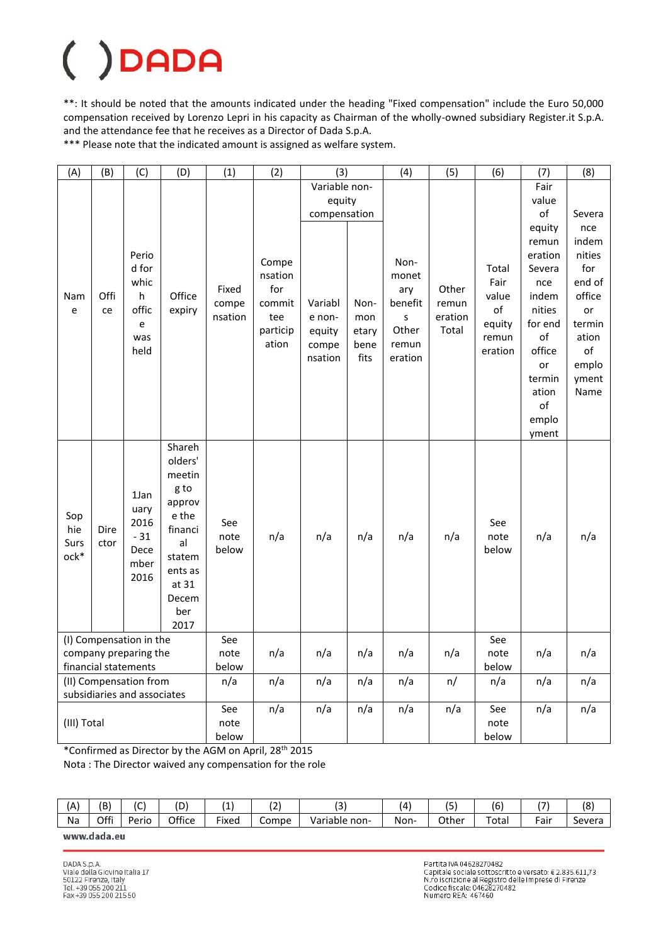\*\*: It should be noted that the amounts indicated under the heading "Fixed compensation" include the Euro 50,000 compensation received by Lorenzo Lepri in his capacity as Chairman of the wholly-owned subsidiary Register.it S.p.A. and the attendance fee that he receives as a Director of Dada S.p.A.

\*\*\* Please note that the indicated amount is assigned as welfare system.

| (A)         | (B)                                           | (C)                     | (D)              | (1)     | (2)      | (3)           |              | (4)        | (5)              | (6)     | (7)     | (8)    |
|-------------|-----------------------------------------------|-------------------------|------------------|---------|----------|---------------|--------------|------------|------------------|---------|---------|--------|
|             |                                               |                         |                  |         |          | Variable non- |              |            |                  |         | Fair    |        |
|             |                                               |                         |                  |         |          | equity        |              |            |                  |         | value   |        |
|             |                                               |                         |                  |         |          | compensation  |              |            |                  |         | of      | Severa |
|             |                                               |                         |                  |         |          |               |              |            |                  |         | equity  | nce    |
|             |                                               |                         |                  |         |          |               |              |            |                  |         | remun   | indem  |
|             |                                               | Perio                   |                  |         |          |               |              |            |                  |         | eration | nities |
|             |                                               | d for                   |                  |         | Compe    |               |              | Non-       |                  | Total   | Severa  | for    |
|             |                                               | whic                    |                  |         | nsation  |               |              | monet      |                  | Fair    | nce     | end of |
| Nam         | Offi                                          | h                       | Office           | Fixed   | for      |               |              | ary        | Other            | value   | indem   | office |
| e           | ce                                            | offic                   | expiry           | compe   | commit   | Variabl       | Non-         | benefit    | remun            | of      | nities  | or     |
|             |                                               | e                       |                  | nsation | tee      | e non-        | mon          | s<br>Other | eration<br>Total | equity  | for end | termin |
|             |                                               | was                     |                  |         | particip | equity        | etary        |            |                  | remun   | of      | ation  |
|             |                                               | held                    |                  |         | ation    | compe         | bene<br>fits | remun      |                  | eration | office  | of     |
|             |                                               |                         |                  |         |          | nsation       |              | eration    |                  |         | or      | emplo  |
|             |                                               |                         |                  |         |          |               |              |            |                  |         | termin  | yment  |
|             |                                               |                         |                  |         |          |               |              |            |                  |         | ation   | Name   |
|             |                                               |                         |                  |         |          |               |              |            |                  |         | of      |        |
|             |                                               |                         |                  |         |          |               |              |            |                  |         | emplo   |        |
|             |                                               |                         |                  |         |          |               |              |            |                  |         | yment   |        |
|             |                                               |                         | Shareh           |         |          |               |              |            |                  |         |         |        |
|             |                                               |                         | olders'          |         |          |               |              |            |                  |         |         |        |
|             |                                               |                         | meetin           |         |          |               |              |            |                  |         |         |        |
|             |                                               | 1Jan                    | g to             |         |          |               |              |            |                  |         |         |        |
|             |                                               | uary                    | approv           |         |          |               |              |            |                  |         |         |        |
| Sop         |                                               | 2016                    | e the            | See     |          |               |              |            |                  | See     |         |        |
| hie         | Dire                                          | $-31$                   | financi          | note    | n/a      | n/a           | n/a          | n/a        | n/a              | note    | n/a     | n/a    |
| Surs        | ctor                                          | Dece                    | al               | below   |          |               |              |            |                  | below   |         |        |
| ock*        |                                               | mber                    | statem           |         |          |               |              |            |                  |         |         |        |
|             |                                               | 2016                    | ents as<br>at 31 |         |          |               |              |            |                  |         |         |        |
|             |                                               |                         | Decem            |         |          |               |              |            |                  |         |         |        |
|             |                                               |                         | ber              |         |          |               |              |            |                  |         |         |        |
|             |                                               |                         | 2017             |         |          |               |              |            |                  |         |         |        |
|             |                                               | (I) Compensation in the |                  | See     |          |               |              |            |                  | See     |         |        |
|             |                                               |                         |                  | note    | n/a      | n/a           | n/a          | n/a        | n/a              | note    | n/a     | n/a    |
|             | company preparing the<br>financial statements |                         |                  | below   |          |               |              |            |                  | below   |         |        |
|             | (II) Compensation from                        |                         |                  | n/a     | n/a      | n/a           | n/a          | n/a        | n/               | n/a     | n/a     | n/a    |
|             | subsidiaries and associates                   |                         |                  |         |          |               |              |            |                  |         |         |        |
|             |                                               |                         |                  | See     | n/a      | n/a           | n/a          | n/a        | n/a              | See     | n/a     | n/a    |
| (III) Total |                                               |                         |                  | note    |          |               |              |            |                  | note    |         |        |
|             |                                               |                         |                  | below   |          |               |              |            |                  | below   |         |        |

\*Confirmed as Director by the AGM on April, 28th 2015

Nota : The Director waived any compensation for the role

| ΊА. | (B)  | $\overline{\phantom{a}}$<br>◡ | (D     | -                  | $\sim$<br>۰۷ | $\sim$<br>ັ      |      | . –<br>້ | $\overline{\phantom{a}}$<br>ıь | $\overline{\phantom{0}}$ | o'<br>ιŏ.   |
|-----|------|-------------------------------|--------|--------------------|--------------|------------------|------|----------|--------------------------------|--------------------------|-------------|
| Na  | Offi | -<br>Perio                    | Office | $- \cdot$<br>Fixed | Compe        | Variable<br>non- | Non- | Other    | -<br>ota                       | ∙air                     | -<br>Severa |
|     |      |                               |        |                    |              |                  |      |          |                                |                          |             |

www.dada.eu

Partita IVA 04628270482 Partita IVA 04628270482<br>Capitale sociale sottoscritto e versato: € 2.835.611,73<br>N.ro iscrizione al Registro delle Imprese di Firenze<br>Codice fiscale: 04628270482<br>Numero REA: 467460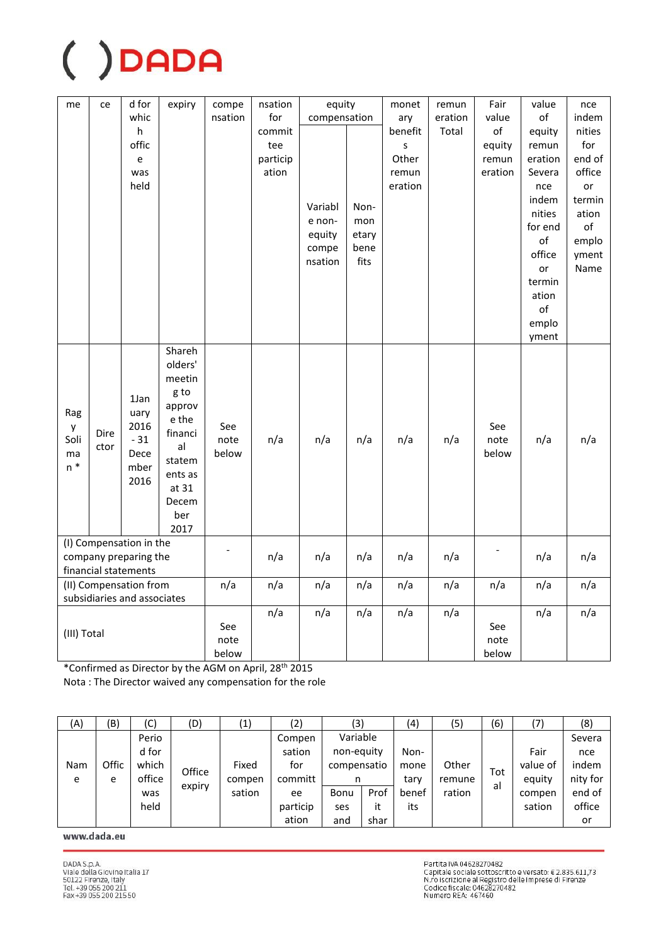| me          | ce   | d for                       | expiry  | compe   | nsation  | equity       |       | monet   | remun   | Fair          | value   | nce    |
|-------------|------|-----------------------------|---------|---------|----------|--------------|-------|---------|---------|---------------|---------|--------|
|             |      | whic                        |         | nsation | for      | compensation |       | ary     | eration | value         | of      | indem  |
|             |      | h                           |         |         | commit   |              |       | benefit | Total   | $\mathsf{of}$ | equity  | nities |
|             |      | offic                       |         |         | tee      |              |       | S       |         | equity        | remun   | for    |
|             |      | e                           |         |         | particip |              |       | Other   |         | remun         | eration | end of |
|             |      | was                         |         |         | ation    |              |       | remun   |         | eration       | Severa  | office |
|             |      | held                        |         |         |          |              |       | eration |         |               | nce     | or     |
|             |      |                             |         |         |          | Variabl      | Non-  |         |         |               | indem   | termin |
|             |      |                             |         |         |          | e non-       | mon   |         |         |               | nities  | ation  |
|             |      |                             |         |         |          | equity       | etary |         |         |               | for end | of     |
|             |      |                             |         |         |          | compe        | bene  |         |         |               | of      | emplo  |
|             |      |                             |         |         |          | nsation      | fits  |         |         |               | office  | yment  |
|             |      |                             |         |         |          |              |       |         |         |               | or      | Name   |
|             |      |                             |         |         |          |              |       |         |         |               | termin  |        |
|             |      |                             |         |         |          |              |       |         |         |               | ation   |        |
|             |      |                             |         |         |          |              |       |         |         |               | of      |        |
|             |      |                             |         |         |          |              |       |         |         |               | emplo   |        |
|             |      |                             |         |         |          |              |       |         |         |               | yment   |        |
|             |      |                             | Shareh  |         |          |              |       |         |         |               |         |        |
|             |      |                             | olders' |         |          |              |       |         |         |               |         |        |
|             |      |                             | meetin  |         |          |              |       |         |         |               |         |        |
|             |      | 1Jan                        | g to    |         |          |              |       |         |         |               |         |        |
| Rag         |      | uary                        | approv  |         |          |              |       |         |         |               |         |        |
| y           |      | 2016                        | e the   | See     |          |              |       |         |         | See           |         |        |
| Soli        | Dire | $-31$                       | financi | note    | n/a      | n/a          | n/a   | n/a     | n/a     | note          | n/a     | n/a    |
| ma          | ctor | Dece                        | al      | below   |          |              |       |         |         | below         |         |        |
| $n *$       |      | mber                        | statem  |         |          |              |       |         |         |               |         |        |
|             |      | 2016                        | ents as |         |          |              |       |         |         |               |         |        |
|             |      |                             | at 31   |         |          |              |       |         |         |               |         |        |
|             |      |                             | Decem   |         |          |              |       |         |         |               |         |        |
|             |      |                             | ber     |         |          |              |       |         |         |               |         |        |
|             |      |                             | 2017    |         |          |              |       |         |         |               |         |        |
|             |      | (I) Compensation in the     |         |         |          |              |       |         |         |               |         |        |
|             |      | company preparing the       |         |         | n/a      | n/a          | n/a   | n/a     | n/a     |               | n/a     | n/a    |
|             |      | financial statements        |         |         |          |              |       |         |         |               |         |        |
|             |      | (II) Compensation from      |         | n/a     | n/a      | n/a          | n/a   | n/a     | n/a     | n/a           | n/a     | n/a    |
|             |      | subsidiaries and associates |         |         |          |              |       |         |         |               |         |        |
|             |      |                             |         |         | n/a      | n/a          | n/a   | n/a     | n/a     |               | n/a     | n/a    |
| (III) Total |      |                             |         | See     |          |              |       |         |         | See           |         |        |
|             |      |                             |         | note    |          |              |       |         |         | note          |         |        |
|             |      |                             |         | below   |          |              |       |         |         | below         |         |        |

\*Confirmed as Director by the AGM on April, 28<sup>th</sup> 2015 Nota: The Director waived any compensation for the role

| (A) | (B)   | (C)    | (D)    | $\left( 1\right)$ | $\left( 2\right)$ | (3)         |      | (4)   | (5)    | (6) | (7)      | (8)      |
|-----|-------|--------|--------|-------------------|-------------------|-------------|------|-------|--------|-----|----------|----------|
|     |       | Perio  |        |                   | Compen            | Variable    |      |       |        |     |          | Severa   |
|     |       | d for  |        |                   | sation            | non-equity  |      | Non-  |        |     | Fair     | nce      |
| Nam | Offic | which  | Office | Fixed             | for               | compensatio |      | mone  | Other  | Tot | value of | indem    |
| e   | e     | office | expiry | compen            | committ           | n           |      | tary  | remune | al  | equity   | nity for |
|     |       | was    |        | sation            | ee                | Bonu        | Prof | benef | ration |     | compen   | end of   |
|     |       | held   |        |                   | particip          | ses         | it   | its   |        |     | sation   | office   |
|     |       |        |        |                   | ation             | and         | shar |       |        |     |          | or       |

www.dada.eu

Partita IVA 04628270482<br>Capitale sociale sottoscritto e versato: € 2.835.611,73<br>N.ro iscrizione al Registro delle Imprese di Firenze<br>Codice fiscale: 04628270482<br>Numero REA: 467460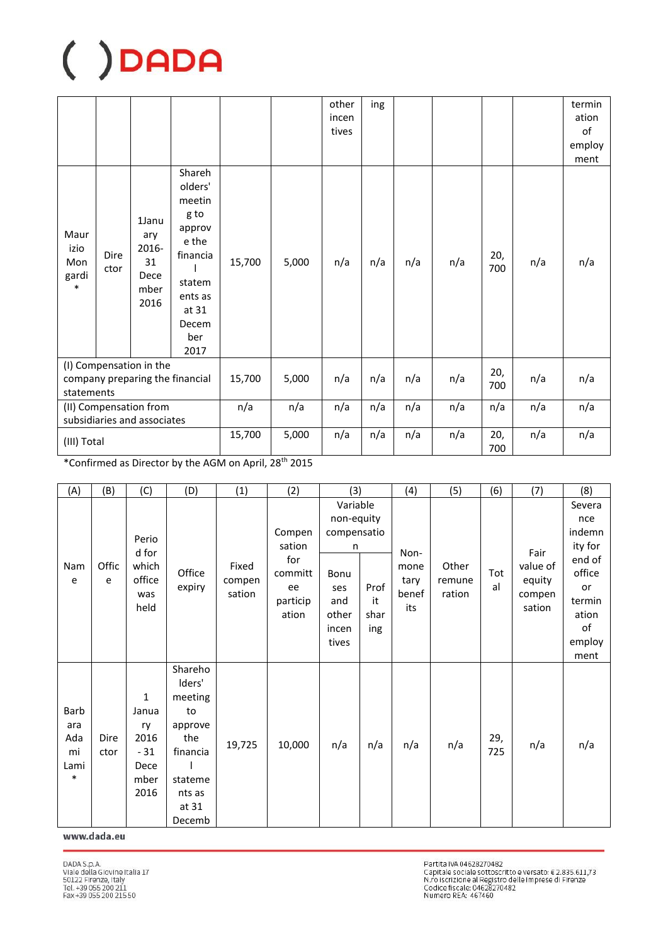|                                                                          |              |                                                     |                                                                                                                          |        |       | other<br>incen<br>tives | ing |     |     |            |     | termin<br>ation<br>of<br>employ<br>ment |
|--------------------------------------------------------------------------|--------------|-----------------------------------------------------|--------------------------------------------------------------------------------------------------------------------------|--------|-------|-------------------------|-----|-----|-----|------------|-----|-----------------------------------------|
| Maur<br>izio<br>Mon<br>gardi<br>$\ast$                                   | Dire<br>ctor | 1Janu<br>ary<br>2016-<br>31<br>Dece<br>mber<br>2016 | Shareh<br>olders'<br>meetin<br>g to<br>approv<br>e the<br>financia<br>statem<br>ents as<br>at 31<br>Decem<br>ber<br>2017 | 15,700 | 5,000 | n/a                     | n/a | n/a | n/a | 20,<br>700 | n/a | n/a                                     |
| (I) Compensation in the<br>company preparing the financial<br>statements |              |                                                     |                                                                                                                          | 15,700 | 5,000 | n/a                     | n/a | n/a | n/a | 20,<br>700 | n/a | n/a                                     |
| (II) Compensation from<br>subsidiaries and associates                    |              |                                                     |                                                                                                                          | n/a    | n/a   | n/a                     | n/a | n/a | n/a | n/a        | n/a | n/a                                     |
|                                                                          | (III) Total  |                                                     |                                                                                                                          | 15,700 | 5,000 | n/a                     | n/a | n/a | n/a | 20,<br>700 | n/a | n/a                                     |

\*Confirmed as Director by the AGM on April, 28<sup>th</sup> 2015

| (A)      | (B)        | (C)             | (D)           | (1)             | (2)              | (3)                            |            | (4)          | (5)             | (6)       | (7)                | (8)                      |
|----------|------------|-----------------|---------------|-----------------|------------------|--------------------------------|------------|--------------|-----------------|-----------|--------------------|--------------------------|
|          |            |                 |               |                 |                  | Variable                       |            |              |                 |           |                    | Severa                   |
|          |            | Perio<br>d for  |               |                 | Compen<br>sation | non-equity<br>compensatio<br>n |            | Non-         |                 |           | Fair               | nce<br>indemn<br>ity for |
| Nam<br>e | Offic<br>e | which<br>office | Office        | Fixed<br>compen | for<br>committ   | Bonu                           |            | mone<br>tary | Other<br>remune | Tot<br>al | value of<br>equity | end of<br>office         |
|          |            | was<br>held     | expiry        | sation          | ee<br>particip   | ses<br>and                     | Prof<br>it | benef        | ration          |           | compen             | or<br>termin             |
|          |            |                 |               |                 | ation            | other                          | shar       | its          |                 |           | sation             | ation                    |
|          |            |                 |               |                 |                  | incen<br>tives                 | ing        |              |                 |           |                    | of<br>employ             |
|          |            |                 |               |                 |                  |                                |            |              |                 |           |                    | ment                     |
|          |            |                 | Shareho       |                 |                  |                                |            |              |                 |           |                    |                          |
|          |            |                 | Iders'        |                 |                  |                                |            |              |                 |           |                    |                          |
| Barb     |            | 1<br>Janua      | meeting<br>to |                 |                  |                                |            |              |                 |           |                    |                          |
| ara      |            | ry              | approve       |                 |                  |                                |            |              |                 |           |                    |                          |
| Ada      | Dire       | 2016            | the           |                 |                  |                                |            |              |                 | 29,       |                    |                          |
| mi       | ctor       | $-31$           | financia      | 19,725          | 10,000           | n/a                            | n/a        | n/a          | n/a             | 725       | n/a                | n/a                      |
| Lami     |            | Dece            |               |                 |                  |                                |            |              |                 |           |                    |                          |
| $\ast$   |            | mber            | stateme       |                 |                  |                                |            |              |                 |           |                    |                          |
|          |            | 2016            | nts as        |                 |                  |                                |            |              |                 |           |                    |                          |
|          |            |                 | at 31         |                 |                  |                                |            |              |                 |           |                    |                          |
|          |            |                 | Decemb        |                 |                  |                                |            |              |                 |           |                    |                          |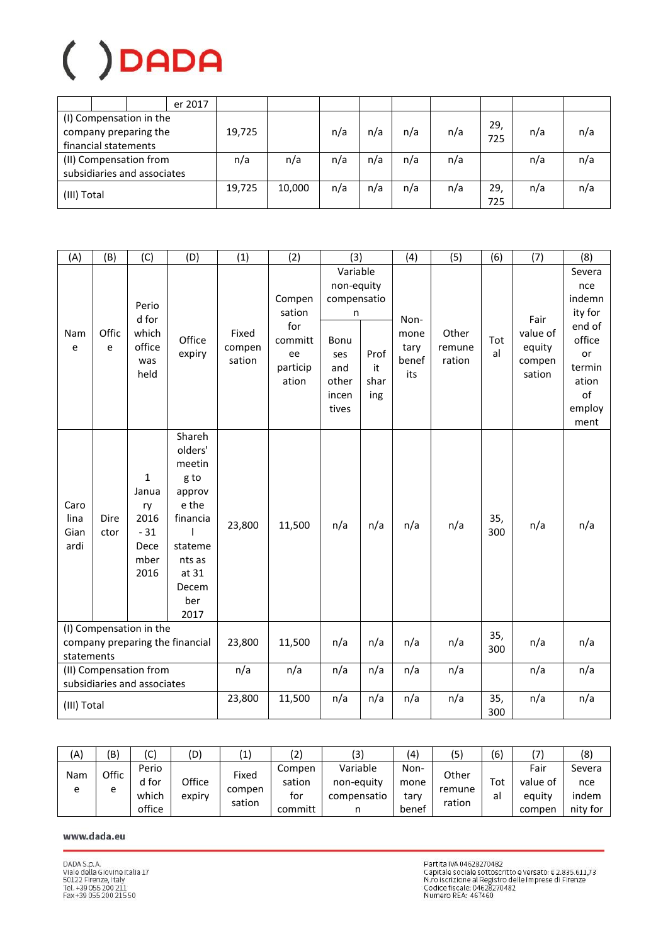|                             |                      |                                                  | er 2017 |        |        |     |     |     |     |           |     |     |
|-----------------------------|----------------------|--------------------------------------------------|---------|--------|--------|-----|-----|-----|-----|-----------|-----|-----|
|                             | financial statements | (I) Compensation in the<br>company preparing the |         | 19,725 |        | n/a | n/a | n/a | n/a | 29<br>725 | n/a | n/a |
| (II) Compensation from      |                      |                                                  | n/a     | n/a    | n/a    | n/a | n/a | n/a |     | n/a       | n/a |     |
| subsidiaries and associates |                      |                                                  |         |        |        |     |     |     |     |           |     |     |
| (III) Total                 |                      |                                                  |         | 19,725 | 10,000 | n/a | n/a | n/a | n/a | 29<br>725 | n/a | n/a |

| (A)                          | (B)                                                                      | (C)                                                       | (D)                                                                                                                      | (1)                       | (2)                                                           | (3)                                                                                         |                           | (4)                                  | (5)                       | (6)        | (7)                                            | (8)                                                                                                     |
|------------------------------|--------------------------------------------------------------------------|-----------------------------------------------------------|--------------------------------------------------------------------------------------------------------------------------|---------------------------|---------------------------------------------------------------|---------------------------------------------------------------------------------------------|---------------------------|--------------------------------------|---------------------------|------------|------------------------------------------------|---------------------------------------------------------------------------------------------------------|
| Nam<br>e                     | Offic<br>e                                                               | Perio<br>d for<br>which<br>office<br>was<br>held          | Office<br>expiry                                                                                                         | Fixed<br>compen<br>sation | Compen<br>sation<br>for<br>committ<br>ee<br>particip<br>ation | Variable<br>non-equity<br>compensatio<br>n<br>Bonu<br>ses<br>and<br>other<br>incen<br>tives | Prof<br>it<br>shar<br>ing | Non-<br>mone<br>tary<br>benef<br>its | Other<br>remune<br>ration | Tot<br>al  | Fair<br>value of<br>equity<br>compen<br>sation | Severa<br>nce<br>indemn<br>ity for<br>end of<br>office<br>or<br>termin<br>ation<br>of<br>employ<br>ment |
| Caro<br>lina<br>Gian<br>ardi | Dire<br>ctor                                                             | 1<br>Janua<br>ry<br>2016<br>$-31$<br>Dece<br>mber<br>2016 | Shareh<br>olders'<br>meetin<br>g to<br>approv<br>e the<br>financia<br>stateme<br>nts as<br>at 31<br>Decem<br>ber<br>2017 | 23,800                    | 11,500                                                        | n/a                                                                                         | n/a                       | n/a                                  | n/a                       | 35,<br>300 | n/a                                            | n/a                                                                                                     |
|                              | (I) Compensation in the<br>company preparing the financial<br>statements |                                                           |                                                                                                                          | 23,800                    | 11,500                                                        | n/a                                                                                         | n/a                       | n/a                                  | n/a                       | 35,<br>300 | n/a                                            | n/a                                                                                                     |
|                              | (II) Compensation from<br>subsidiaries and associates                    |                                                           |                                                                                                                          | n/a                       | n/a                                                           | n/a                                                                                         | n/a                       | n/a                                  | n/a                       |            | n/a                                            | n/a                                                                                                     |
| (III) Total                  |                                                                          |                                                           |                                                                                                                          | 23,800                    | 11,500                                                        | n/a                                                                                         | n/a                       | n/a                                  | n/a                       | 35,<br>300 | n/a                                            | n/a                                                                                                     |

| (A) | (B)   | (C)    | (D)    | $\mathbf{1}^{\prime}$ | $\left( 2\right)$ | (3)         | (4)   | (5)              | (6)                |          | (8)      |
|-----|-------|--------|--------|-----------------------|-------------------|-------------|-------|------------------|--------------------|----------|----------|
| Nam | Offic | Perio  |        | Fixed                 | Compen            | Variable    | Non-  | Other            |                    | Fair     | Severa   |
|     |       | d for  | Office |                       | sation            | non-equity  | mone  |                  | $\tau_{\text{ot}}$ | value of | nce      |
| e   | e     | which  | expiry | compen<br>sation      | tor               | compensatio | tary  | remune<br>ration | al                 | equity   | indem    |
|     |       | office |        |                       | committ           |             | benef |                  |                    | compen   | nity for |

### www.dada.eu

Partita IVA 04628270482<br>Capitale sociale sottoscritto e versato: € 2.835.611,73<br>N.ro iscrizione al Registro delle Imprese di Firenze<br>Codice fiscale: 04628270482<br>Numero REA: 467460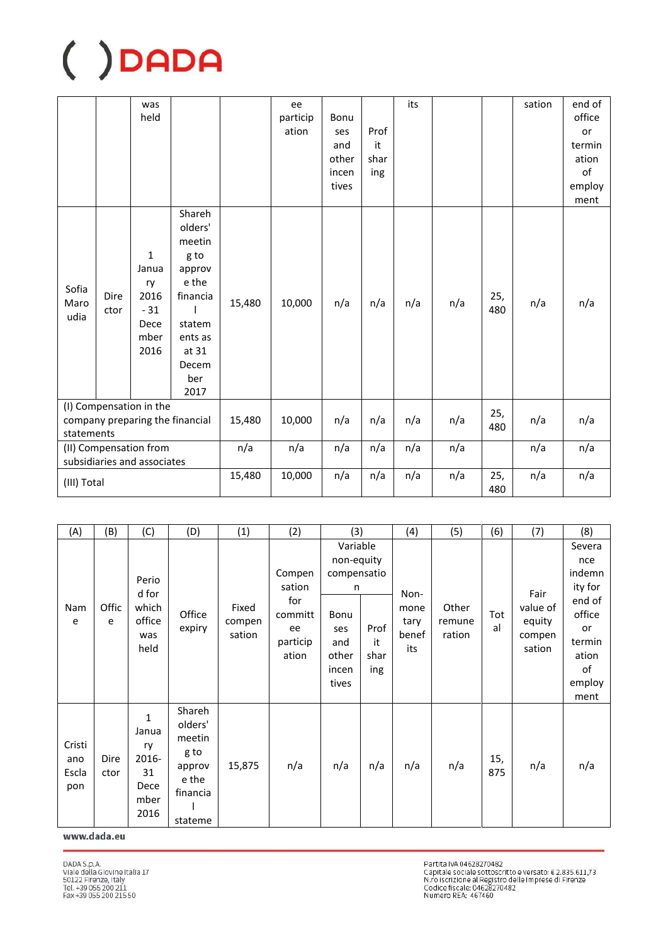|                                                                          |                                            | was<br>held                                                          |                                                                                                                          |                                               | ee<br>particip<br>ation | Bonu<br>ses<br>and<br>other<br>incen<br>tives | Prof<br>it<br>shar<br>ing | its |     |            | sation | end of<br>office<br>or<br>termin<br>ation<br>of<br>employ<br>ment |
|--------------------------------------------------------------------------|--------------------------------------------|----------------------------------------------------------------------|--------------------------------------------------------------------------------------------------------------------------|-----------------------------------------------|-------------------------|-----------------------------------------------|---------------------------|-----|-----|------------|--------|-------------------------------------------------------------------|
| Sofia<br>Maro<br>udia                                                    | Dire<br>ctor                               | $\mathbf{1}$<br>Janua<br>ry<br>2016<br>$-31$<br>Dece<br>mber<br>2016 | Shareh<br>olders'<br>meetin<br>g to<br>approv<br>e the<br>financia<br>statem<br>ents as<br>at 31<br>Decem<br>ber<br>2017 | 15,480                                        | 10,000                  | n/a                                           | n/a                       | n/a | n/a | 25,<br>480 | n/a    | n/a                                                               |
| (I) Compensation in the<br>company preparing the financial<br>statements |                                            |                                                                      |                                                                                                                          | 15,480                                        | 10,000                  | n/a                                           | n/a                       | n/a | n/a | 25,<br>480 | n/a    | n/a                                                               |
|                                                                          |                                            | (II) Compensation from                                               |                                                                                                                          | n/a<br>n/a<br>n/a<br>n/a<br>n/a<br>n/a<br>n/a |                         | n/a                                           |                           |     |     |            |        |                                                                   |
|                                                                          | subsidiaries and associates<br>(III) Total |                                                                      |                                                                                                                          | 15,480                                        | 10,000                  | n/a                                           | n/a                       | n/a | n/a | 25,<br>480 | n/a    | n/a                                                               |

| (A)                           | (B)          | (C)                                                                | (D)                                                                           | (1)                       | (2)                                                           | (3)                                                                                         |                           | (4)                                  | (5)                       | (6)        | (7)                                            | (8)                                                                                                     |
|-------------------------------|--------------|--------------------------------------------------------------------|-------------------------------------------------------------------------------|---------------------------|---------------------------------------------------------------|---------------------------------------------------------------------------------------------|---------------------------|--------------------------------------|---------------------------|------------|------------------------------------------------|---------------------------------------------------------------------------------------------------------|
| Nam<br>e                      | Offic<br>e   | Perio<br>d for<br>which<br>office<br>was<br>held                   | Office<br>expiry                                                              | Fixed<br>compen<br>sation | Compen<br>sation<br>for<br>committ<br>ee<br>particip<br>ation | Variable<br>non-equity<br>compensatio<br>n<br>Bonu<br>ses<br>and<br>other<br>incen<br>tives | Prof<br>it<br>shar<br>ing | Non-<br>mone<br>tary<br>benef<br>its | Other<br>remune<br>ration | Tot<br>al  | Fair<br>value of<br>equity<br>compen<br>sation | Severa<br>nce<br>indemn<br>ity for<br>end of<br>office<br>or<br>termin<br>ation<br>of<br>employ<br>ment |
| Cristi<br>ano<br>Escla<br>pon | Dire<br>ctor | $\mathbf{1}$<br>Janua<br>ry<br>2016-<br>31<br>Dece<br>mber<br>2016 | Shareh<br>olders'<br>meetin<br>g to<br>approv<br>e the<br>financia<br>stateme | 15,875                    | n/a                                                           | n/a                                                                                         | n/a                       | n/a                                  | n/a                       | 15,<br>875 | n/a                                            | n/a                                                                                                     |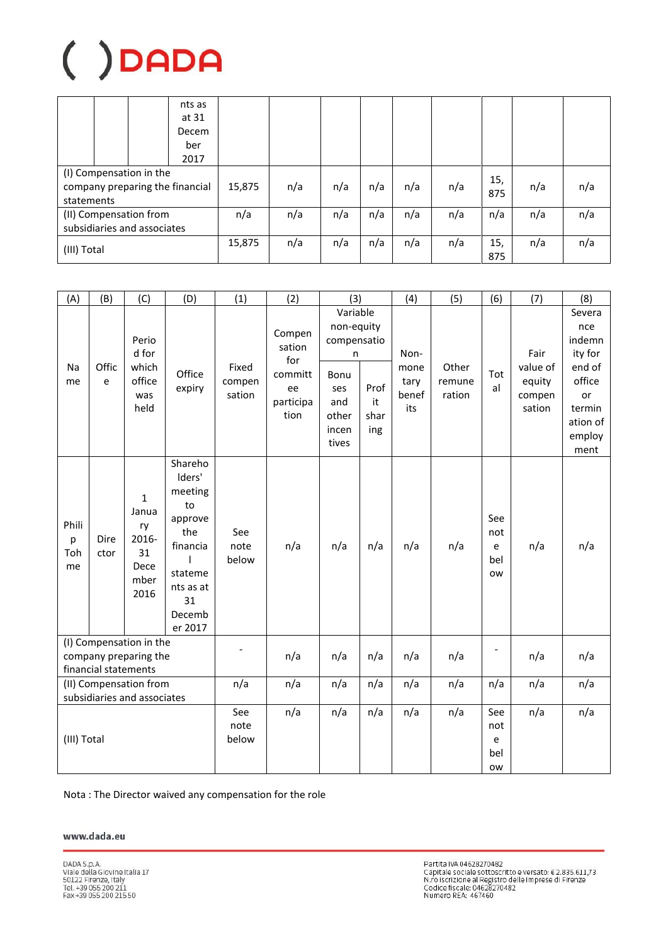|                                                                          |  |  | nts as<br>at 31<br>Decem<br>ber<br>2017 |        |     |     |     |     |            |            |     |     |
|--------------------------------------------------------------------------|--|--|-----------------------------------------|--------|-----|-----|-----|-----|------------|------------|-----|-----|
| (I) Compensation in the<br>company preparing the financial<br>statements |  |  |                                         | 15,875 | n/a | n/a | n/a | n/a | n/a        | 15,<br>875 | n/a | n/a |
| (II) Compensation from<br>subsidiaries and associates                    |  |  |                                         | n/a    | n/a | n/a | n/a | n/a | n/a        | n/a        | n/a | n/a |
| (III) Total                                                              |  |  | 15,875                                  | n/a    | n/a | n/a | n/a | n/a | 15,<br>875 | n/a        | n/a |     |

| (A)                                                                      | (B)                                                   | (C)                                                                | (D)                                                                                                                 | (1)                       | (2)                                                           | (3)                                                                                         |                           | (4)                                  | (5)                                 | (6)                          | (7)                                            | (8)                                                                                                  |
|--------------------------------------------------------------------------|-------------------------------------------------------|--------------------------------------------------------------------|---------------------------------------------------------------------------------------------------------------------|---------------------------|---------------------------------------------------------------|---------------------------------------------------------------------------------------------|---------------------------|--------------------------------------|-------------------------------------|------------------------------|------------------------------------------------|------------------------------------------------------------------------------------------------------|
| Na<br>me                                                                 | Offic<br>e                                            | Perio<br>d for<br>which<br>office<br>was<br>held                   | Office<br>expiry                                                                                                    | Fixed<br>compen<br>sation | Compen<br>sation<br>for<br>committ<br>ee<br>participa<br>tion | Variable<br>non-equity<br>compensatio<br>n<br>Bonu<br>ses<br>and<br>other<br>incen<br>tives | Prof<br>it<br>shar<br>ing | Non-<br>mone<br>tary<br>benef<br>its | Other<br>remune<br>ration           | Tot<br>al                    | Fair<br>value of<br>equity<br>compen<br>sation | Severa<br>nce<br>indemn<br>ity for<br>end of<br>office<br>or<br>termin<br>ation of<br>employ<br>ment |
| Phili<br>р<br>Toh<br>me                                                  | <b>Dire</b><br>ctor                                   | $\mathbf{1}$<br>Janua<br>ry<br>2016-<br>31<br>Dece<br>mber<br>2016 | Shareho<br>Iders'<br>meeting<br>to<br>approve<br>the<br>financia<br>stateme<br>nts as at<br>31<br>Decemb<br>er 2017 | See<br>note<br>below      | n/a                                                           | n/a                                                                                         | n/a                       | n/a                                  | n/a                                 | See<br>not<br>e<br>bel<br>ow | n/a                                            | n/a                                                                                                  |
| (I) Compensation in the<br>company preparing the<br>financial statements |                                                       |                                                                    | $\overline{\phantom{a}}$                                                                                            | n/a                       | n/a                                                           | n/a                                                                                         | n/a                       | n/a                                  | $\overline{\phantom{0}}$            | n/a                          | n/a                                            |                                                                                                      |
|                                                                          | (II) Compensation from<br>subsidiaries and associates |                                                                    |                                                                                                                     | n/a                       | n/a                                                           | n/a                                                                                         | n/a                       | n/a                                  | n/a                                 | n/a                          | n/a                                            | n/a                                                                                                  |
| (III) Total                                                              |                                                       |                                                                    | See<br>note<br>below                                                                                                | n/a                       | n/a                                                           | n/a                                                                                         | n/a                       | n/a                                  | See<br>not<br>e<br>bel<br><b>OW</b> | n/a                          | n/a                                            |                                                                                                      |

Nota: The Director waived any compensation for the role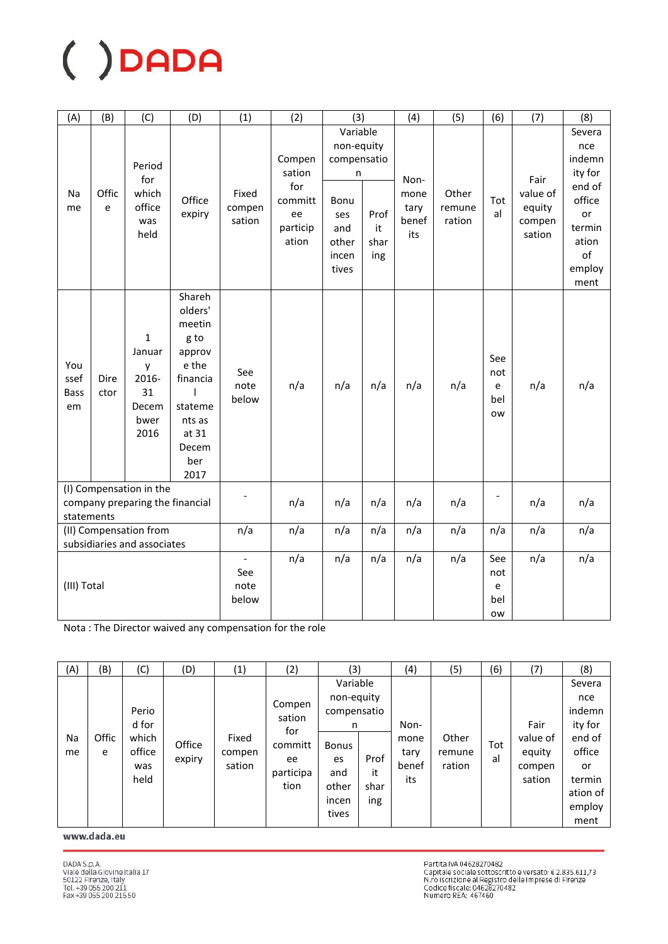| (A)                              | (B)                                                                      | (C)                                                                 | (D)                                                                                                                           | (1)                                    | (2)                                                           | (3)                                                                                         |                           | (4)                                  | (5)                       | (6)                                 | (7)                                            | (8)                                                                                                     |
|----------------------------------|--------------------------------------------------------------------------|---------------------------------------------------------------------|-------------------------------------------------------------------------------------------------------------------------------|----------------------------------------|---------------------------------------------------------------|---------------------------------------------------------------------------------------------|---------------------------|--------------------------------------|---------------------------|-------------------------------------|------------------------------------------------|---------------------------------------------------------------------------------------------------------|
| Na<br>me                         | Offic<br>e                                                               | Period<br>for<br>which<br>office<br>was<br>held                     | Office<br>expiry                                                                                                              | Fixed<br>compen<br>sation              | Compen<br>sation<br>for<br>committ<br>ee<br>particip<br>ation | Variable<br>non-equity<br>compensatio<br>n<br>Bonu<br>ses<br>and<br>other<br>incen<br>tives | Prof<br>it<br>shar<br>ing | Non-<br>mone<br>tary<br>benef<br>its | Other<br>remune<br>ration | Tot<br>al                           | Fair<br>value of<br>equity<br>compen<br>sation | Severa<br>nce<br>indemn<br>ity for<br>end of<br>office<br>or<br>termin<br>ation<br>of<br>employ<br>ment |
| You<br>ssef<br><b>Bass</b><br>em | Dire<br>ctor                                                             | $\mathbf{1}$<br>Januar<br>y<br>2016-<br>31<br>Decem<br>bwer<br>2016 | Shareh<br>olders'<br>meetin<br>g to<br>approv<br>e the<br>financia<br>I<br>stateme<br>nts as<br>at 31<br>Decem<br>ber<br>2017 | See<br>note<br>below                   | n/a                                                           | n/a                                                                                         | n/a                       | n/a                                  | n/a                       | See<br>not<br>e<br>bel<br><b>OW</b> | n/a                                            | n/a                                                                                                     |
|                                  | (I) Compensation in the<br>company preparing the financial<br>statements |                                                                     |                                                                                                                               |                                        | n/a                                                           | n/a                                                                                         | n/a                       | n/a                                  | n/a                       |                                     | n/a                                            | n/a                                                                                                     |
|                                  | (II) Compensation from                                                   |                                                                     |                                                                                                                               | n/a                                    | n/a                                                           | n/a                                                                                         | n/a                       | n/a                                  | n/a                       | n/a                                 | n/a                                            | n/a                                                                                                     |
|                                  | subsidiaries and associates<br>(III) Total                               |                                                                     |                                                                                                                               | $\overline{a}$<br>See<br>note<br>below | n/a                                                           | n/a                                                                                         | n/a                       | n/a                                  | n/a                       | See<br>not<br>e<br>bel<br><b>OW</b> | n/a                                            | n/a                                                                                                     |

Nota: The Director waived any compensation for the role

| (A)      | (B)        | (C)                                              | (D)              | (1)                       | (2)                                                           | (3)                                                                                                |                           | (4)                                  | (5)                       | (6)       | (7)                                            | (8)                                                                                                  |
|----------|------------|--------------------------------------------------|------------------|---------------------------|---------------------------------------------------------------|----------------------------------------------------------------------------------------------------|---------------------------|--------------------------------------|---------------------------|-----------|------------------------------------------------|------------------------------------------------------------------------------------------------------|
| Na<br>me | Offic<br>e | Perio<br>d for<br>which<br>office<br>was<br>held | Office<br>expiry | Fixed<br>compen<br>sation | Compen<br>sation<br>for<br>committ<br>ee<br>participa<br>tion | Variable<br>non-equity<br>compensatio<br>n<br><b>Bonus</b><br>es<br>and<br>other<br>incen<br>tives | Prof<br>it<br>shar<br>ing | Non-<br>mone<br>tary<br>benef<br>its | Other<br>remune<br>ration | Tot<br>al | Fair<br>value of<br>equity<br>compen<br>sation | Severa<br>nce<br>indemn<br>ity for<br>end of<br>office<br>or<br>termin<br>ation of<br>employ<br>ment |

www.dada.eu

Partita IVA 04628270482<br>Capitale sociale sottoscritto e versato: € 2.835.611,73<br>N.ro iscrizione al Registro delle Imprese di Firenze<br>Codice fiscale: 04628270482<br>Numero REA: 467460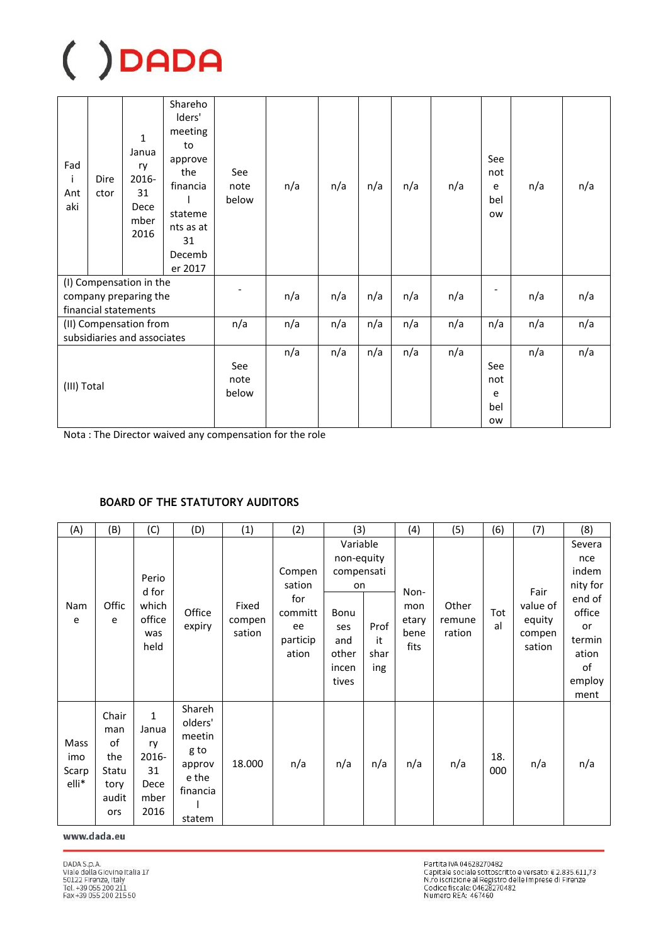| Fad<br>j<br>Ant<br>aki                                                   | Dire<br>ctor | $\mathbf{1}$<br>Janua<br>ry<br>2016-<br>31<br>Dece<br>mber<br>2016 | Shareho<br>Iders'<br>meeting<br>to<br>approve<br>the<br>financia<br>stateme<br>nts as at<br>31<br>Decemb<br>er 2017 | See<br>note<br>below | n/a | n/a | n/a | n/a                                 | n/a | See<br>not<br>e<br>bel<br>ow | n/a | n/a |
|--------------------------------------------------------------------------|--------------|--------------------------------------------------------------------|---------------------------------------------------------------------------------------------------------------------|----------------------|-----|-----|-----|-------------------------------------|-----|------------------------------|-----|-----|
| (I) Compensation in the<br>company preparing the<br>financial statements |              |                                                                    | n/a                                                                                                                 | n/a                  | n/a | n/a | n/a |                                     | n/a | n/a                          |     |     |
|                                                                          |              | (II) Compensation from                                             |                                                                                                                     | n/a                  | n/a | n/a | n/a | n/a                                 | n/a | n/a                          | n/a | n/a |
|                                                                          |              | subsidiaries and associates                                        |                                                                                                                     |                      |     |     |     |                                     |     |                              |     |     |
| (III) Total                                                              |              | See<br>note<br>below                                               | n/a                                                                                                                 | n/a                  | n/a | n/a | n/a | See<br>not<br>e<br>bel<br><b>OW</b> | n/a | n/a                          |     |     |

Nota : The Director waived any compensation for the role

### **BOARD OF THE STATUTORY AUDITORS**

| (A)                           | (B)                                                        | (C)                                                                | (D)                                                                          | (1)                       | (2)                                                           | (3)                                                                                         |                           | (4)                                  | (5)                       | (6)        | (7)                                            | (8)                                                                                                     |
|-------------------------------|------------------------------------------------------------|--------------------------------------------------------------------|------------------------------------------------------------------------------|---------------------------|---------------------------------------------------------------|---------------------------------------------------------------------------------------------|---------------------------|--------------------------------------|---------------------------|------------|------------------------------------------------|---------------------------------------------------------------------------------------------------------|
| Nam<br>e                      | Offic<br>e                                                 | Perio<br>d for<br>which<br>office<br>was<br>held                   | Office<br>expiry                                                             | Fixed<br>compen<br>sation | Compen<br>sation<br>for<br>committ<br>ee<br>particip<br>ation | Variable<br>non-equity<br>compensati<br>on<br>Bonu<br>ses<br>and<br>other<br>incen<br>tives | Prof<br>it<br>shar<br>ing | Non-<br>mon<br>etary<br>bene<br>fits | Other<br>remune<br>ration | Tot<br>al  | Fair<br>value of<br>equity<br>compen<br>sation | Severa<br>nce<br>indem<br>nity for<br>end of<br>office<br>or<br>termin<br>ation<br>of<br>employ<br>ment |
| Mass<br>imo<br>Scarp<br>elli* | Chair<br>man<br>of<br>the<br>Statu<br>tory<br>audit<br>ors | $\mathbf{1}$<br>Janua<br>ry<br>2016-<br>31<br>Dece<br>mber<br>2016 | Shareh<br>olders'<br>meetin<br>g to<br>approv<br>e the<br>financia<br>statem | 18.000                    | n/a                                                           | n/a                                                                                         | n/a                       | n/a                                  | n/a                       | 18.<br>000 | n/a                                            | n/a                                                                                                     |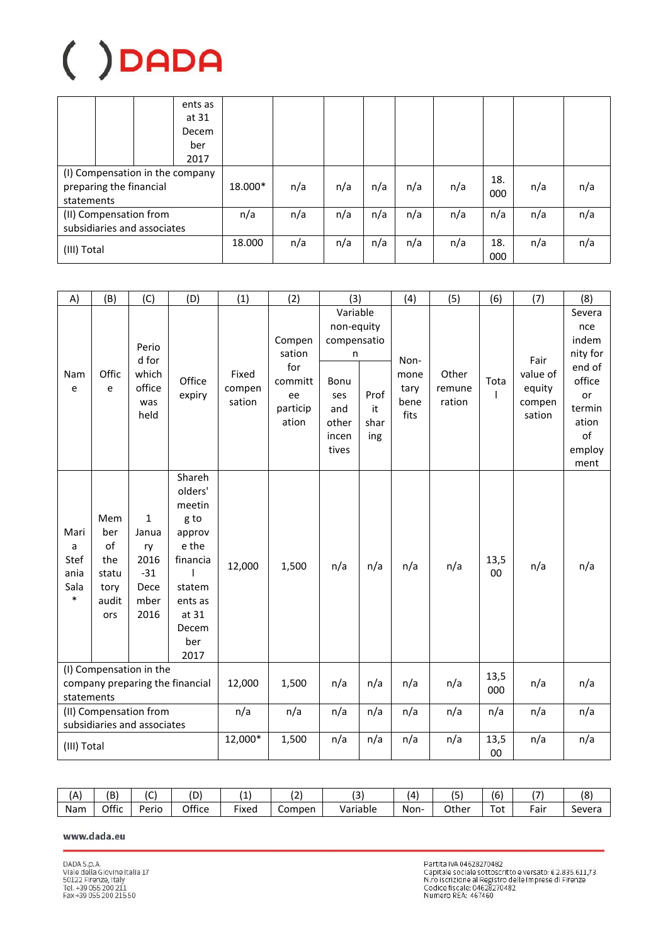|                                                                          |  |        | ents as<br>at 31<br>Decem |         |     |     |     |            |     |            |     |     |
|--------------------------------------------------------------------------|--|--------|---------------------------|---------|-----|-----|-----|------------|-----|------------|-----|-----|
|                                                                          |  |        | ber<br>2017               |         |     |     |     |            |     |            |     |     |
| (I) Compensation in the company<br>preparing the financial<br>statements |  |        |                           | 18.000* | n/a | n/a | n/a | n/a        | n/a | 18.<br>000 | n/a | n/a |
| (II) Compensation from<br>subsidiaries and associates                    |  |        |                           | n/a     | n/a | n/a | n/a | n/a        | n/a | n/a        | n/a | n/a |
| (III) Total                                                              |  | 18.000 | n/a                       | n/a     | n/a | n/a | n/a | 18.<br>000 | n/a | n/a        |     |     |

| A)                                                    | (B)                                                                      | (C)                                                                  | (D)                                                                                                                           | (1)                       | (2)                                                           | (3)                                                                                         |                           | (4)                                  | (5)                       | (6)         | (7)                                            | (8)                                                                                                     |
|-------------------------------------------------------|--------------------------------------------------------------------------|----------------------------------------------------------------------|-------------------------------------------------------------------------------------------------------------------------------|---------------------------|---------------------------------------------------------------|---------------------------------------------------------------------------------------------|---------------------------|--------------------------------------|---------------------------|-------------|------------------------------------------------|---------------------------------------------------------------------------------------------------------|
| Nam<br>e                                              | Offic<br>e                                                               | Perio<br>d for<br>which<br>office<br>was<br>held                     | Office<br>expiry                                                                                                              | Fixed<br>compen<br>sation | Compen<br>sation<br>for<br>committ<br>ee<br>particip<br>ation | Variable<br>non-equity<br>compensatio<br>n<br>Bonu<br>ses<br>and<br>other<br>incen<br>tives | Prof<br>it<br>shar<br>ing | Non-<br>mone<br>tary<br>bene<br>fits | Other<br>remune<br>ration | Tota        | Fair<br>value of<br>equity<br>compen<br>sation | Severa<br>nce<br>indem<br>nity for<br>end of<br>office<br>or<br>termin<br>ation<br>of<br>employ<br>ment |
| Mari<br>a<br><b>Stef</b><br>ania<br>Sala<br>$\ast$    | Mem<br>ber<br>of<br>the<br>statu<br>tory<br>audit<br>ors                 | $\mathbf{1}$<br>Janua<br>ry<br>2016<br>$-31$<br>Dece<br>mber<br>2016 | Shareh<br>olders'<br>meetin<br>g to<br>approv<br>e the<br>financia<br>ı<br>statem<br>ents as<br>at 31<br>Decem<br>ber<br>2017 | 12,000                    | 1,500                                                         | n/a                                                                                         | n/a                       | n/a                                  | n/a                       | 13,5<br>00  | n/a                                            | n/a                                                                                                     |
|                                                       | (I) Compensation in the<br>company preparing the financial<br>statements |                                                                      |                                                                                                                               | 12,000                    | 1,500                                                         | n/a                                                                                         | n/a                       | n/a                                  | n/a                       | 13,5<br>000 | n/a                                            | n/a                                                                                                     |
| (II) Compensation from<br>subsidiaries and associates |                                                                          | n/a                                                                  | n/a                                                                                                                           | n/a                       | n/a                                                           | n/a                                                                                         | n/a                       | n/a                                  | n/a                       | n/a         |                                                |                                                                                                         |
| (III) Total                                           |                                                                          |                                                                      |                                                                                                                               | 12,000*                   | 1,500                                                         | n/a                                                                                         | n/a                       | n/a                                  | n/a                       | 13,5<br>00  | n/a                                            | n/a                                                                                                     |

| (A  | (B'   | $\overline{\phantom{a}}$<br>╰ | חו     |                    | רי<br>. . | $\sim$<br>◡ | $\Delta$ | $-$<br>، ت. | $\sim$<br>ıь | $\overline{\phantom{a}}$ | ΙО<br>٥ |
|-----|-------|-------------------------------|--------|--------------------|-----------|-------------|----------|-------------|--------------|--------------------------|---------|
| Nam | Offic | Perio                         | Office | $- \cdot$<br>Fixed | Compen    | Variable    | Non-     | Other       | Tot          | -<br>Fair                | Severa  |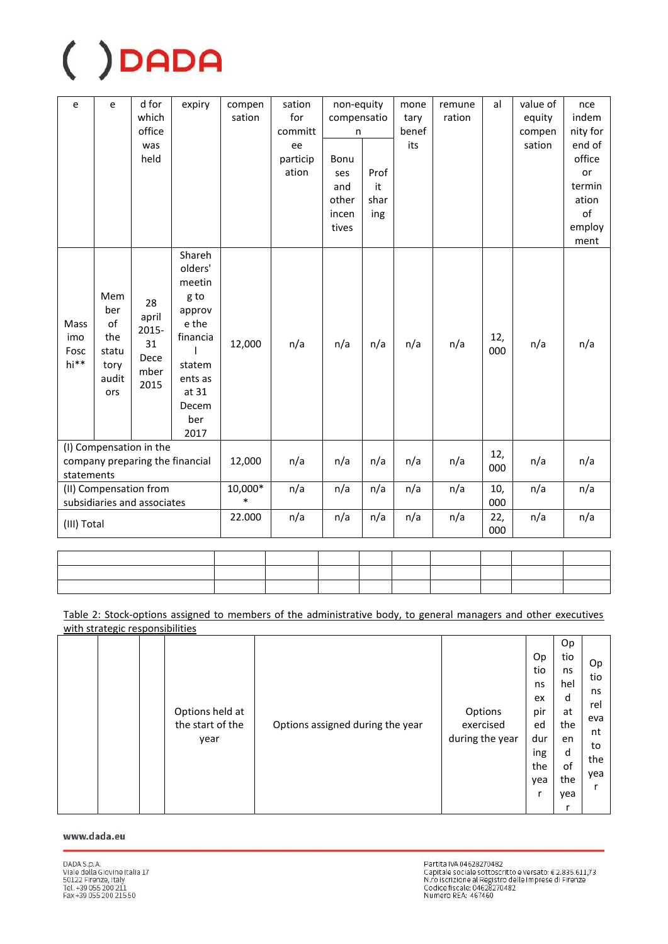| e                           | e                                                 | d for<br>which<br>office<br>was<br>held               | expiry                                                                                  | compen<br>sation  | sation<br>for<br>committ<br>ee<br>particip<br>ation | non-equity<br>compensatio<br>n<br>Bonu<br>ses<br>and<br>other<br>incen<br>tives | Prof<br>it<br>shar<br>ing | mone<br>tary<br>benef<br>its | remune<br>ration | al         | value of<br>equity<br>compen<br>sation | nce<br>indem<br>nity for<br>end of<br>office<br>or<br>termin<br>ation<br>of<br>employ |
|-----------------------------|---------------------------------------------------|-------------------------------------------------------|-----------------------------------------------------------------------------------------|-------------------|-----------------------------------------------------|---------------------------------------------------------------------------------|---------------------------|------------------------------|------------------|------------|----------------------------------------|---------------------------------------------------------------------------------------|
| Mass<br>imo<br>Fosc<br>hi** | Mem<br>ber<br>of<br>the<br>statu<br>tory<br>audit | 28<br>april<br>2015-<br>31<br>Dece<br>mber            | Shareh<br>olders'<br>meetin<br>g to<br>approv<br>e the<br>financia<br>statem<br>ents as | 12,000            | n/a                                                 | n/a                                                                             | n/a                       | n/a                          | n/a              | 12,<br>000 | n/a                                    | ment<br>n/a                                                                           |
|                             | ors                                               | 2015                                                  | at 31<br>Decem<br>ber<br>2017                                                           |                   |                                                     |                                                                                 |                           |                              |                  |            |                                        |                                                                                       |
| statements                  |                                                   | (I) Compensation in the                               | company preparing the financial                                                         | 12,000            | n/a                                                 | n/a                                                                             | n/a                       | n/a                          | n/a              | 12,<br>000 | n/a                                    | n/a                                                                                   |
|                             |                                                   | (II) Compensation from<br>subsidiaries and associates |                                                                                         | 10,000*<br>$\ast$ | n/a                                                 | n/a                                                                             | n/a                       | n/a                          | n/a              | 10,<br>000 | n/a                                    | n/a                                                                                   |
| (III) Total                 |                                                   |                                                       |                                                                                         | 22.000            | n/a                                                 | n/a                                                                             | n/a                       | n/a                          | n/a              | 22,<br>000 | n/a                                    | n/a                                                                                   |

| the contract of the contract of the contract of the contract of the contract of the contract of the contract of |  |  |  |  |                                   |
|-----------------------------------------------------------------------------------------------------------------|--|--|--|--|-----------------------------------|
| the contract of the contract of the contract of the contract of the contract of the contract of the contract of |  |  |  |  |                                   |
| the contract of the contract of the contract of the contract of the contract of                                 |  |  |  |  | the control of the control of the |

Table 2: Stock-options assigned to members of the administrative body, to general managers and other executives with strategic responsibilities

|  |  |  | Options held at<br>the start of the<br>year | Options assigned during the year | Options<br>exercised<br>during the year | Op<br>tio<br>ns<br>ex<br>pir<br>ed<br>dur<br>ing<br>the<br>yea | Op<br>tio<br>ns<br>hel<br>d<br>at<br>the<br>en<br>d<br>0f<br>the<br>yea<br>r | Op.<br>tio<br>ns<br>rel<br>eva<br>nt<br>to<br>the<br>yea |
|--|--|--|---------------------------------------------|----------------------------------|-----------------------------------------|----------------------------------------------------------------|------------------------------------------------------------------------------|----------------------------------------------------------|
|--|--|--|---------------------------------------------|----------------------------------|-----------------------------------------|----------------------------------------------------------------|------------------------------------------------------------------------------|----------------------------------------------------------|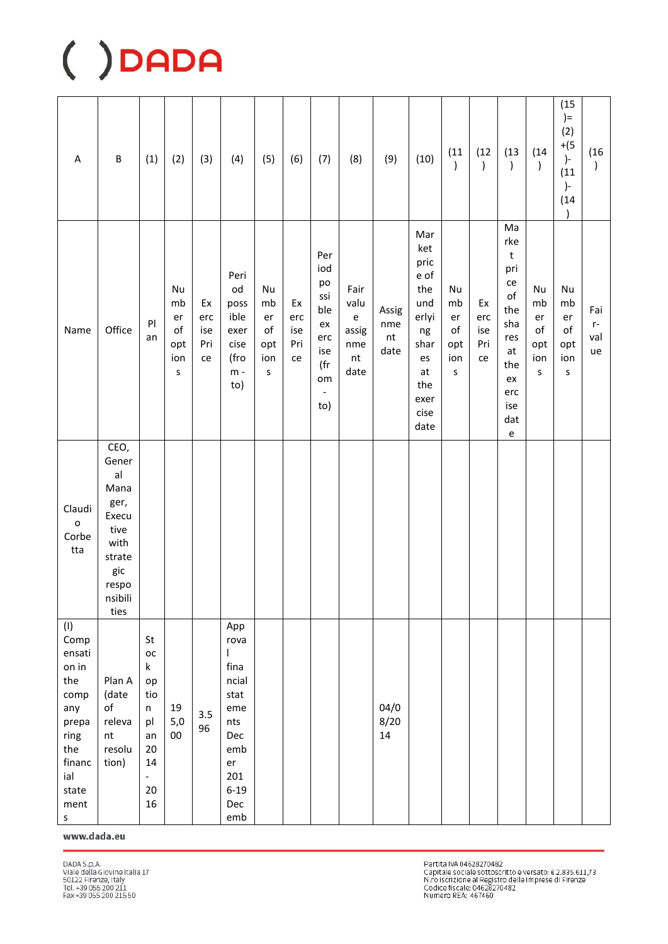| A                                                                                                                           | B                                                                                                        | (1)                                                                                                 | (2)                                           | (3)                           | (4)                                                                                                                     | (5)                                           | (6)                           | (7)                                                                                      | (8)                                                                             | (9)                               | (10)                                                                                                       | (11)<br>$\mathcal{C}$                             | (12)<br>$\mathcal{C}$         | (13)<br>$\mathcal{E}$                                                                                                                                                 | (14)<br>$\left( \right)$                | (15)<br>$) =$<br>(2)<br>$+(5)$<br>$\overline{)}$<br>(11)<br>)-<br>(14) | (16)<br>$\lambda$        |
|-----------------------------------------------------------------------------------------------------------------------------|----------------------------------------------------------------------------------------------------------|-----------------------------------------------------------------------------------------------------|-----------------------------------------------|-------------------------------|-------------------------------------------------------------------------------------------------------------------------|-----------------------------------------------|-------------------------------|------------------------------------------------------------------------------------------|---------------------------------------------------------------------------------|-----------------------------------|------------------------------------------------------------------------------------------------------------|---------------------------------------------------|-------------------------------|-----------------------------------------------------------------------------------------------------------------------------------------------------------------------|-----------------------------------------|------------------------------------------------------------------------|--------------------------|
| Name                                                                                                                        | Office                                                                                                   | P<br>an                                                                                             | Nu<br>mb<br>er<br>of<br>opt<br>ion<br>$\sf S$ | Ex<br>erc<br>ise<br>Pri<br>ce | Peri<br>od<br>poss<br>ible<br>exer<br>cise<br>(fro<br>$m -$<br>to)                                                      | Nu<br>mb<br>er<br>of<br>opt<br>ion<br>$\sf S$ | Ex<br>erc<br>ise<br>Pri<br>ce | Per<br>iod<br>po<br>ssi<br>ble<br>ex<br>erc<br>ise<br>(fr<br>om<br>$\blacksquare$<br>to) | Fair<br>valu<br>$\mathsf{e}% _{t}\left( t\right)$<br>assig<br>nme<br>nt<br>date | Assig<br>nme<br>$\sf{nt}$<br>date | Mar<br>ket<br>pric<br>e of<br>the<br>und<br>erlyi<br>ng<br>shar<br>es<br>at<br>the<br>exer<br>cise<br>date | Nu<br>mb<br>er<br>of<br>opt<br>ion<br>$\mathsf S$ | Ex<br>erc<br>ise<br>Pri<br>ce | Ma<br>rke<br>$\sf t$<br>pri<br>${\rm ce}$<br>$\mathsf{of}$<br>the<br>sha<br>res<br>at<br>the<br>ex<br>erc<br>ise<br>dat<br>$\mathsf{e}% _{0}\left( \mathsf{e}\right)$ | Nu<br>mb<br>er<br>of<br>opt<br>ion<br>s | Nu<br>mb<br>er<br>of<br>opt<br>ion<br>$\mathsf S$                      | Fai<br>$r-$<br>val<br>ue |
| Claudi<br>$\mathbf{o}$<br>Corbe<br>tta                                                                                      | CEO,<br>Gener<br>a<br>Mana<br>ger,<br>Execu<br>tive<br>with<br>strate<br>gic<br>respo<br>nsibili<br>ties |                                                                                                     |                                               |                               |                                                                                                                         |                                               |                               |                                                                                          |                                                                                 |                                   |                                                                                                            |                                                   |                               |                                                                                                                                                                       |                                         |                                                                        |                          |
| (1)<br>Comp<br>ensati<br>on in<br>the<br>comp<br>any<br>prepa<br>ring<br>the<br>financ<br>ial<br>state<br>ment<br>${\sf S}$ | Plan A<br>(date<br>$\mathsf{of}$<br>releva<br>nt<br>resolu<br>tion)                                      | St<br>ОC<br>$\sf k$<br>op<br>tio<br>n<br>pl<br>an<br>$20\,$<br>14<br>$\blacksquare$<br>$20\,$<br>16 | 19<br>5,0<br>$00\,$                           | 3.5<br>96                     | App<br>rova<br>$\mathsf{I}$<br>fina<br>ncial<br>stat<br>eme<br>nts<br>Dec<br>emb<br>er<br>201<br>$6 - 19$<br>Dec<br>emb |                                               |                               |                                                                                          |                                                                                 | 04/0<br>8/20<br>14                |                                                                                                            |                                                   |                               |                                                                                                                                                                       |                                         |                                                                        |                          |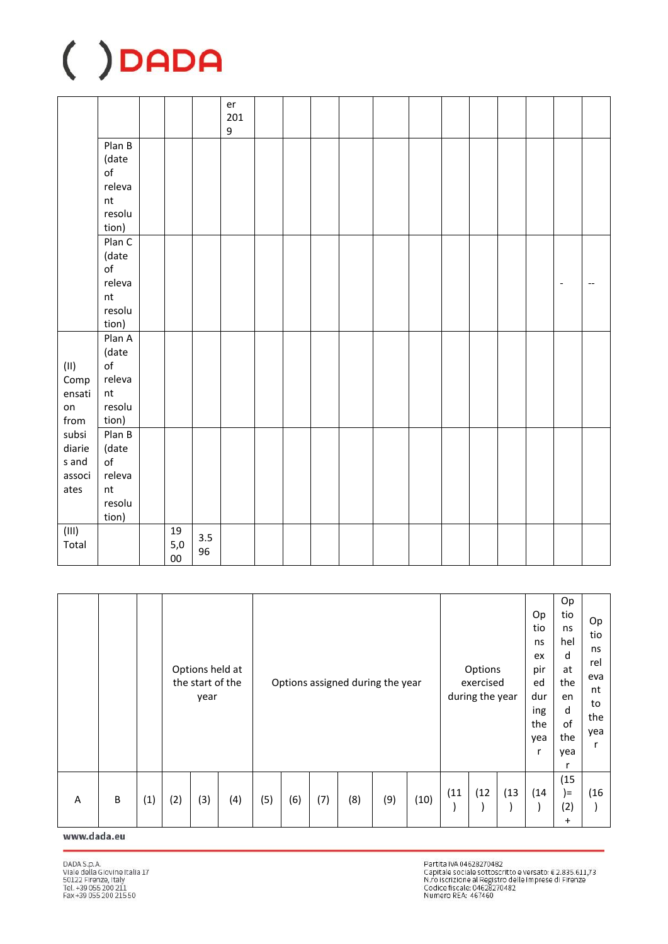|                                             |                                                                            |                               |           | er<br>201<br>$\boldsymbol{9}$ |  |  |  |  |  |                          |  |
|---------------------------------------------|----------------------------------------------------------------------------|-------------------------------|-----------|-------------------------------|--|--|--|--|--|--------------------------|--|
|                                             | Plan B<br>(date<br>$\mathsf{of}$<br>releva<br>nt<br>resolu<br>tion)        |                               |           |                               |  |  |  |  |  |                          |  |
|                                             | PlanC<br>(date<br>$\mathsf{of}$<br>releva<br>$\sf{nt}$<br>resolu<br>tion)  |                               |           |                               |  |  |  |  |  | $\overline{\phantom{a}}$ |  |
| $(\sf{II})$<br>Comp<br>ensati<br>on<br>from | Plan A<br>(date<br>$\mathsf{of}$<br>releva<br>$\sf{nt}$<br>resolu<br>tion) |                               |           |                               |  |  |  |  |  |                          |  |
| subsi<br>diarie<br>s and<br>associ<br>ates  | Plan B<br>(date<br>$\mathsf{of}$<br>releva<br>$\sf{nt}$<br>resolu<br>tion) |                               |           |                               |  |  |  |  |  |                          |  |
| (III)<br>Total                              |                                                                            | $19\,$<br>$5,0$<br>${\bf 00}$ | 3.5<br>96 |                               |  |  |  |  |  |                          |  |

|   |   |     |     | Options held at<br>the start of the<br>year |     |     |     |     |     | Options assigned during the year |      |      | Options<br>exercised<br>during the year |      | Op<br>tio<br>ns<br>ex<br>pir<br>ed<br>dur<br>ing<br>the<br>yea | Op<br>tio<br>ns<br>hel<br>d<br>at<br>the<br>en<br>d<br>of<br>the<br>yea | Op<br>tio<br>ns<br>rel<br>eva<br>nt<br>to<br>the<br>yea<br>r |
|---|---|-----|-----|---------------------------------------------|-----|-----|-----|-----|-----|----------------------------------|------|------|-----------------------------------------|------|----------------------------------------------------------------|-------------------------------------------------------------------------|--------------------------------------------------------------|
| Α | B | (1) | (2) | (3)                                         | (4) | (5) | (6) | (7) | (8) | (9)                              | (10) | (11) | (12)                                    | (13) | (14)                                                           | (15)<br>$=$<br>(2)<br>$\ddot{}$                                         | (16)                                                         |

### www.dada.eu

Partita IVA 04628270482<br>Capitale sociale sottoscritto e versato: € 2.835.611,73<br>N.ro iscrizione al Registro delle Imprese di Firenze<br>Codice fiscale: 04628270482<br>Numero REA: 467460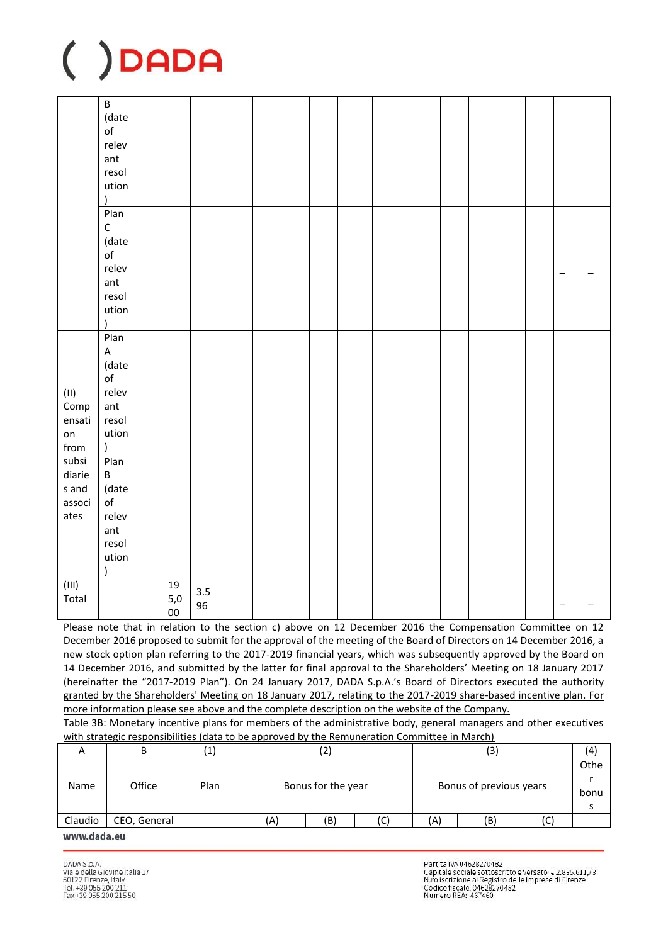|                                             | $\overline{B}$<br>(date<br>$\mathsf{of}$<br>relev<br>ant<br>resol<br>ution               |                     |           |  |  |  |  |  |                   |  |
|---------------------------------------------|------------------------------------------------------------------------------------------|---------------------|-----------|--|--|--|--|--|-------------------|--|
|                                             | Plan<br>$\mathsf C$<br>(date<br>$\mathsf{of}$<br>relev<br>ant<br>resol<br>ution          |                     |           |  |  |  |  |  | $\qquad \qquad -$ |  |
| $(\sf{II})$<br>Comp<br>ensati<br>on<br>from | Plan<br>$\sf A$<br>(date<br>$\mathsf{of}$<br>relev<br>ant<br>resol<br>ution<br>$\lambda$ |                     |           |  |  |  |  |  |                   |  |
| subsi<br>diarie<br>s and<br>associ<br>ates  | Plan<br>$\sf B$<br>(date<br>$\mathsf{of}$<br>relev<br>ant<br>resol<br>ution<br>$\lambda$ |                     |           |  |  |  |  |  |                   |  |
| (III)<br>Total                              |                                                                                          | 19<br>5,0<br>$00\,$ | 3.5<br>96 |  |  |  |  |  |                   |  |

Please note that in relation to the section c) above on 12 December 2016 the Compensation Committee on 12 December 2016 proposed to submit for the approval of the meeting of the Board of Directors on 14 December 2016, a new stock option plan referring to the 2017-2019 financial years, which was subsequently approved by the Board on 14 December 2016, and submitted by the latter for final approval to the Shareholders' Meeting on 18 January 2017 (hereinafter the "2017-2019 Plan"). On 24 January 2017, DADA S.p.A.'s Board of Directors executed the authority granted by the Shareholders' Meeting on 18 January 2017, relating to the 2017-2019 share-based incentive plan. For more information please see above and the complete description on the website of the Company.

Table 3B: Monetary incentive plans for members of the administrative body, general managers and other executives with strategic responsibilities (data to be approved by the Remuneration Committee in March)

| 宀       | D            | (1)  |     | ے                  |     |                        | c                       |  | (4)  |
|---------|--------------|------|-----|--------------------|-----|------------------------|-------------------------|--|------|
|         |              |      |     |                    |     |                        |                         |  | Othe |
| Name    | Office       | Plan |     |                    |     |                        |                         |  |      |
|         |              |      |     | Bonus for the year |     |                        | Bonus of previous years |  | bonu |
|         |              |      |     |                    |     |                        |                         |  |      |
| Claudio | CEO, General |      | (A) | (B)                | (C) | (B)<br>יי<br>(A`<br>ιC |                         |  |      |
|         |              |      |     |                    |     |                        |                         |  |      |

www.dada.eu

Partita IVA 04628270482 Partitus Novascovinos<br>Capitale sociale sottoscritto e versato: € 2.835.611,73<br>N.ro iscrizione al Registro delle Imprese di Firenze<br>Codice fiscale: 04628270482 Numero REA: 467460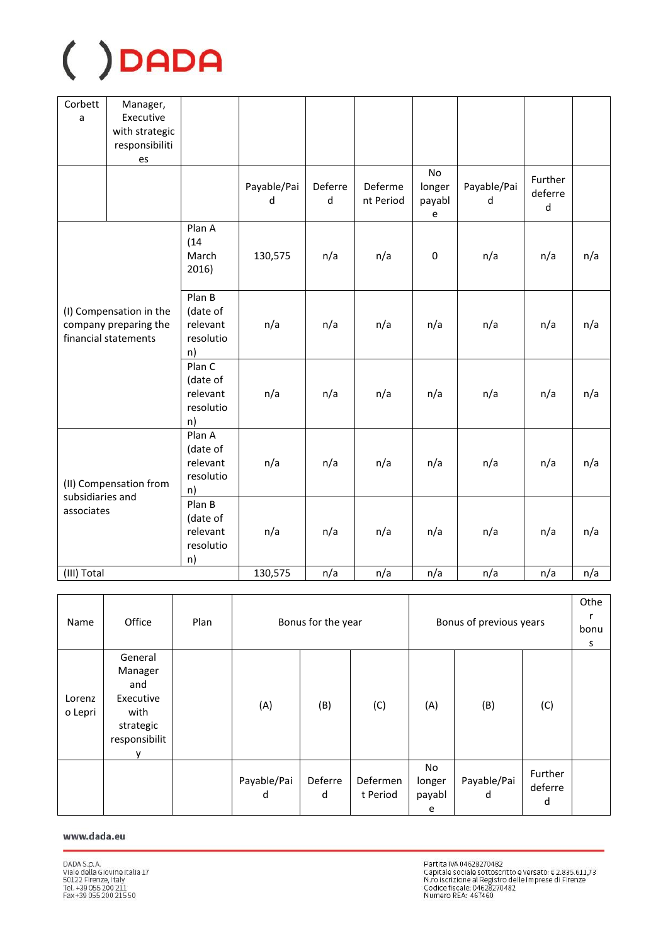| Corbett<br>a     | Manager,<br>Executive<br>with strategic<br>responsibiliti<br>es          |                                                   |                  |              |                      |                             |                  |                                    |     |
|------------------|--------------------------------------------------------------------------|---------------------------------------------------|------------------|--------------|----------------------|-----------------------------|------------------|------------------------------------|-----|
|                  |                                                                          |                                                   | Payable/Pai<br>d | Deferre<br>d | Deferme<br>nt Period | No<br>longer<br>payabl<br>e | Payable/Pai<br>d | Further<br>deferre<br>$\mathsf{d}$ |     |
|                  |                                                                          | Plan A<br>(14)<br>March<br>2016)                  | 130,575          | n/a          | n/a                  | $\mathbf 0$                 | n/a              | n/a                                | n/a |
|                  | (I) Compensation in the<br>company preparing the<br>financial statements | Plan B<br>(date of<br>relevant<br>resolutio<br>n) | n/a              | n/a          | n/a                  | n/a                         | n/a              | n/a                                | n/a |
|                  |                                                                          | Plan C<br>(date of<br>relevant<br>resolutio<br>n) | n/a              | n/a          | n/a                  | n/a                         | n/a              | n/a                                | n/a |
| subsidiaries and | (II) Compensation from                                                   | Plan A<br>(date of<br>relevant<br>resolutio<br>n) | n/a              | n/a          | n/a                  | n/a                         | n/a              | n/a                                | n/a |
| associates       |                                                                          | Plan B<br>(date of<br>relevant<br>resolutio<br>n) | n/a              | n/a          | n/a                  | n/a                         | n/a              | n/a                                | n/a |
| (III) Total      |                                                                          |                                                   | 130,575          | n/a          | n/a                  | n/a                         | n/a              | n/a                                | n/a |

| Name              | Office                                                                       | Plan |                  | Bonus for the year |                      |                             | Bonus of previous years |                         | Othe<br>bonu<br>s |
|-------------------|------------------------------------------------------------------------------|------|------------------|--------------------|----------------------|-----------------------------|-------------------------|-------------------------|-------------------|
| Lorenz<br>o Lepri | General<br>Manager<br>and<br>Executive<br>with<br>strategic<br>responsibilit |      | (A)              | (B)                | (C)                  | (A)                         | (B)                     | (C)                     |                   |
|                   |                                                                              |      | Payable/Pai<br>d | Deferre<br>d       | Defermen<br>t Period | No<br>longer<br>payabl<br>e | Payable/Pai<br>d        | Further<br>deferre<br>d |                   |